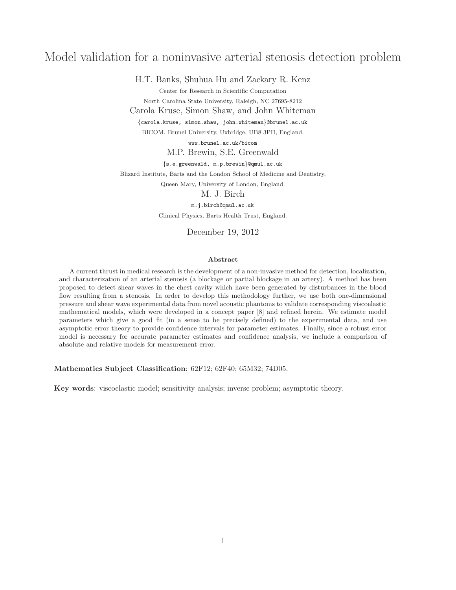# Model validation for a noninvasive arterial stenosis detection problem

H.T. Banks, Shuhua Hu and Zackary R. Kenz

Center for Research in Scientific Computation

North Carolina State University, Raleigh, NC 27695-8212

Carola Kruse, Simon Shaw, and John Whiteman

{carola.kruse, simon.shaw, john.whiteman}@brunel.ac.uk BICOM, Brunel University, Uxbridge, UB8 3PH, England.

www.brunel.ac.uk/bicom

M.P. Brewin, S.E. Greenwald

{s.e.greenwald, m.p.brewin}@qmul.ac.uk

Blizard Institute, Barts and the London School of Medicine and Dentistry,

Queen Mary, University of London, England.

M. J. Birch

m.j.birch@qmul.ac.uk

Clinical Physics, Barts Health Trust, England.

December 19, 2012

#### Abstract

A current thrust in medical research is the development of a non-invasive method for detection, localization, and characterization of an arterial stenosis (a blockage or partial blockage in an artery). A method has been proposed to detect shear waves in the chest cavity which have been generated by disturbances in the blood flow resulting from a stenosis. In order to develop this methodology further, we use both one-dimensional pressure and shear wave experimental data from novel acoustic phantoms to validate corresponding viscoelastic mathematical models, which were developed in a concept paper [8] and refined herein. We estimate model parameters which give a good fit (in a sense to be precisely defined) to the experimental data, and use asymptotic error theory to provide confidence intervals for parameter estimates. Finally, since a robust error model is necessary for accurate parameter estimates and confidence analysis, we include a comparison of absolute and relative models for measurement error.

Mathematics Subject Classification: 62F12; 62F40; 65M32; 74D05.

Key words: viscoelastic model; sensitivity analysis; inverse problem; asymptotic theory.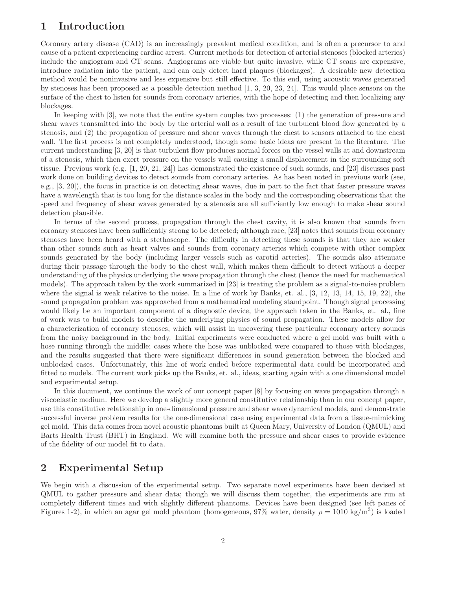## 1 Introduction

Coronary artery disease (CAD) is an increasingly prevalent medical condition, and is often a precursor to and cause of a patient experiencing cardiac arrest. Current methods for detection of arterial stenoses (blocked arteries) include the angiogram and CT scans. Angiograms are viable but quite invasive, while CT scans are expensive, introduce radiation into the patient, and can only detect hard plaques (blockages). A desirable new detection method would be noninvasive and less expensive but still effective. To this end, using acoustic waves generated by stenoses has been proposed as a possible detection method [1, 3, 20, 23, 24]. This would place sensors on the surface of the chest to listen for sounds from coronary arteries, with the hope of detecting and then localizing any blockages.

In keeping with [3], we note that the entire system couples two processes: (1) the generation of pressure and shear waves transmitted into the body by the arterial wall as a result of the turbulent blood flow generated by a stenosis, and (2) the propagation of pressure and shear waves through the chest to sensors attached to the chest wall. The first process is not completely understood, though some basic ideas are present in the literature. The current understanding [3, 20] is that turbulent flow produces normal forces on the vessel walls at and downstream of a stenosis, which then exert pressure on the vessels wall causing a small displacement in the surrounding soft tissue. Previous work (e.g. [1, 20, 21, 24]) has demonstrated the existence of such sounds, and [23] discusses past work done on building devices to detect sounds from coronary arteries. As has been noted in previous work (see, e.g., [3, 20]), the focus in practice is on detecting shear waves, due in part to the fact that faster pressure waves have a wavelength that is too long for the distance scales in the body and the corresponding observations that the speed and frequency of shear waves generated by a stenosis are all sufficiently low enough to make shear sound detection plausible.

In terms of the second process, propagation through the chest cavity, it is also known that sounds from coronary stenoses have been sufficiently strong to be detected; although rare, [23] notes that sounds from coronary stenoses have been heard with a stethoscope. The difficulty in detecting these sounds is that they are weaker than other sounds such as heart valves and sounds from coronary arteries which compete with other complex sounds generated by the body (including larger vessels such as carotid arteries). The sounds also attenuate during their passage through the body to the chest wall, which makes them difficult to detect without a deeper understanding of the physics underlying the wave propagation through the chest (hence the need for mathematical models). The approach taken by the work summarized in [23] is treating the problem as a signal-to-noise problem where the signal is weak relative to the noise. In a line of work by Banks, et. al., [3, 12, 13, 14, 15, 19, 22], the sound propagation problem was approached from a mathematical modeling standpoint. Though signal processing would likely be an important component of a diagnostic device, the approach taken in the Banks, et. al., line of work was to build models to describe the underlying physics of sound propagation. These models allow for a characterization of coronary stenoses, which will assist in uncovering these particular coronary artery sounds from the noisy background in the body. Initial experiments were conducted where a gel mold was built with a hose running through the middle; cases where the hose was unblocked were compared to those with blockages, and the results suggested that there were significant differences in sound generation between the blocked and unblocked cases. Unfortunately, this line of work ended before experimental data could be incorporated and fitted to models. The current work picks up the Banks, et. al., ideas, starting again with a one dimensional model and experimental setup.

In this document, we continue the work of our concept paper [8] by focusing on wave propagation through a viscoelastic medium. Here we develop a slightly more general constitutive relationship than in our concept paper, use this constitutive relationship in one-dimensional pressure and shear wave dynamical models, and demonstrate successful inverse problem results for the one-dimensional case using experimental data from a tissue-mimicking gel mold. This data comes from novel acoustic phantoms built at Queen Mary, University of London (QMUL) and Barts Health Trust (BHT) in England. We will examine both the pressure and shear cases to provide evidence of the fidelity of our model fit to data.

## 2 Experimental Setup

We begin with a discussion of the experimental setup. Two separate novel experiments have been devised at QMUL to gather pressure and shear data; though we will discuss them together, the experiments are run at completely different times and with slightly different phantoms. Devices have been designed (see left panes of Figures 1-2), in which an agar gel mold phantom (homogeneous, 97% water, density  $\rho = 1010 \text{ kg/m}^3$ ) is loaded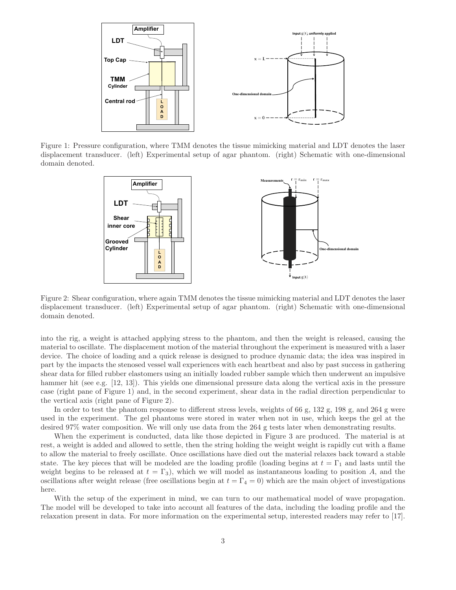

Figure 1: Pressure configuration, where TMM denotes the tissue mimicking material and LDT denotes the laser displacement transducer. (left) Experimental setup of agar phantom. (right) Schematic with one-dimensional domain denoted.



Figure 2: Shear configuration, where again TMM denotes the tissue mimicking material and LDT denotes the laser displacement transducer. (left) Experimental setup of agar phantom. (right) Schematic with one-dimensional domain denoted.

into the rig, a weight is attached applying stress to the phantom, and then the weight is released, causing the material to oscillate. The displacement motion of the material throughout the experiment is measured with a laser device. The choice of loading and a quick release is designed to produce dynamic data; the idea was inspired in part by the impacts the stenosed vessel wall experiences with each heartbeat and also by past success in gathering shear data for filled rubber elastomers using an initially loaded rubber sample which then underwent an impulsive hammer hit (see e.g. [12, 13]). This yields one dimensional pressure data along the vertical axis in the pressure case (right pane of Figure 1) and, in the second experiment, shear data in the radial direction perpendicular to the vertical axis (right pane of Figure 2).

In order to test the phantom response to different stress levels, weights of 66 g, 132 g, 198 g, and 264 g were used in the experiment. The gel phantoms were stored in water when not in use, which keeps the gel at the desired 97% water composition. We will only use data from the 264 g tests later when demonstrating results.

When the experiment is conducted, data like those depicted in Figure 3 are produced. The material is at rest, a weight is added and allowed to settle, then the string holding the weight weight is rapidly cut with a flame to allow the material to freely oscillate. Once oscillations have died out the material relaxes back toward a stable state. The key pieces that will be modeled are the loading profile (loading begins at  $t = \Gamma_1$  and lasts until the weight begins to be released at  $t = \Gamma_3$ , which we will model as instantaneous loading to position A, and the oscillations after weight release (free oscillations begin at  $t = \Gamma_4 = 0$ ) which are the main object of investigations here.

With the setup of the experiment in mind, we can turn to our mathematical model of wave propagation. The model will be developed to take into account all features of the data, including the loading profile and the relaxation present in data. For more information on the experimental setup, interested readers may refer to [17].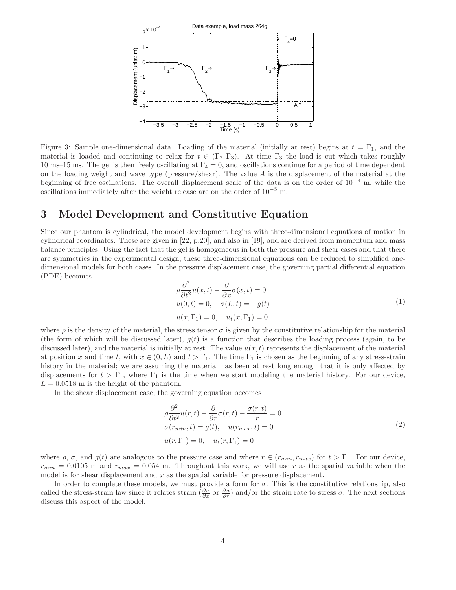

Figure 3: Sample one-dimensional data. Loading of the material (initially at rest) begins at  $t = \Gamma_1$ , and the material is loaded and continuing to relax for  $t \in (\Gamma_2, \Gamma_3)$ . At time  $\Gamma_3$  the load is cut which takes roughly 10 ms–15 ms. The gel is then freely oscillating at  $\Gamma_4 = 0$ , and oscillations continue for a period of time dependent on the loading weight and wave type (pressure/shear). The value  $A$  is the displacement of the material at the beginning of free oscillations. The overall displacement scale of the data is on the order of  $10^{-4}$  m, while the oscillations immediately after the weight release are on the order of  $10^{-5}$  m.

### 3 Model Development and Constitutive Equation

Since our phantom is cylindrical, the model development begins with three-dimensional equations of motion in cylindrical coordinates. These are given in [22, p.20], and also in [19], and are derived from momentum and mass balance principles. Using the fact that the gel is homogeneous in both the pressure and shear cases and that there are symmetries in the experimental design, these three-dimensional equations can be reduced to simplified onedimensional models for both cases. In the pressure displacement case, the governing partial differential equation (PDE) becomes

$$
\rho \frac{\partial^2}{\partial t^2} u(x, t) - \frac{\partial}{\partial x} \sigma(x, t) = 0
$$
  
u(0, t) = 0,  $\sigma(L, t) = -g(t)$   

$$
u(x, \Gamma_1) = 0, \quad u_t(x, \Gamma_1) = 0
$$
 (1)

where  $\rho$  is the density of the material, the stress tensor  $\sigma$  is given by the constitutive relationship for the material (the form of which will be discussed later),  $g(t)$  is a function that describes the loading process (again, to be discussed later), and the material is initially at rest. The value  $u(x, t)$  represents the displacement of the material at position x and time t, with  $x \in (0, L)$  and  $t > \Gamma_1$ . The time  $\Gamma_1$  is chosen as the beginning of any stress-strain history in the material; we are assuming the material has been at rest long enough that it is only affected by displacements for  $t > \Gamma_1$ , where  $\Gamma_1$  is the time when we start modeling the material history. For our device,  $L = 0.0518$  m is the height of the phantom.

In the shear displacement case, the governing equation becomes

$$
\rho \frac{\partial^2}{\partial t^2} u(r, t) - \frac{\partial}{\partial r} \sigma(r, t) - \frac{\sigma(r, t)}{r} = 0
$$
  
\n
$$
\sigma(r_{min}, t) = g(t), \quad u(r_{max}, t) = 0
$$
  
\n
$$
u(r, \Gamma_1) = 0, \quad u_t(r, \Gamma_1) = 0
$$
\n(2)

where  $\rho$ ,  $\sigma$ , and  $g(t)$  are analogous to the pressure case and where  $r \in (r_{min}, r_{max})$  for  $t > \Gamma_1$ . For our device,  $r_{min} = 0.0105$  m and  $r_{max} = 0.054$  m. Throughout this work, we will use r as the spatial variable when the model is for shear displacement and  $x$  as the spatial variable for pressure displacement.

In order to complete these models, we must provide a form for  $\sigma$ . This is the constitutive relationship, also called the stress-strain law since it relates strain  $\left(\frac{\partial u}{\partial x} \text{ or } \frac{\partial u}{\partial r}\right)$  and/or the strain rate to stress  $\sigma$ . The next sections discuss this aspect of the model.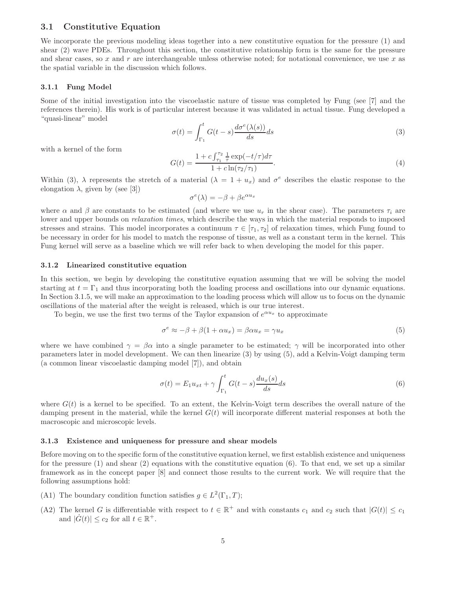#### 3.1 Constitutive Equation

We incorporate the previous modeling ideas together into a new constitutive equation for the pressure (1) and shear (2) wave PDEs. Throughout this section, the constitutive relationship form is the same for the pressure and shear cases, so x and r are interchangeable unless otherwise noted; for notational convenience, we use x as the spatial variable in the discussion which follows.

#### 3.1.1 Fung Model

Some of the initial investigation into the viscoelastic nature of tissue was completed by Fung (see [7] and the references therein). His work is of particular interest because it was validated in actual tissue. Fung developed a "quasi-linear" model

$$
\sigma(t) = \int_{\Gamma_1}^t G(t-s) \frac{d\sigma^e(\lambda(s))}{ds} ds \tag{3}
$$

with a kernel of the form

$$
G(t) = \frac{1 + c \int_{\tau_1}^{\tau_2} \frac{1}{\tau} \exp(-t/\tau) d\tau}{1 + c \ln(\tau_2/\tau_1)}.
$$
\n(4)

Within (3),  $\lambda$  represents the stretch of a material  $(\lambda = 1 + u_x)$  and  $\sigma^e$  describes the elastic response to the elongation  $\lambda$ , given by (see [3])

$$
\sigma^{e}(\lambda) = -\beta + \beta e^{\alpha u_x}
$$

where  $\alpha$  and  $\beta$  are constants to be estimated (and where we use  $u_r$  in the shear case). The parameters  $\tau_i$  are lower and upper bounds on *relaxation times*, which describe the ways in which the material responds to imposed stresses and strains. This model incorporates a continuum  $\tau \in [\tau_1, \tau_2]$  of relaxation times, which Fung found to be necessary in order for his model to match the response of tissue, as well as a constant term in the kernel. This Fung kernel will serve as a baseline which we will refer back to when developing the model for this paper.

#### 3.1.2 Linearized constitutive equation

In this section, we begin by developing the constitutive equation assuming that we will be solving the model starting at  $t = \Gamma_1$  and thus incorporating both the loading process and oscillations into our dynamic equations. In Section 3.1.5, we will make an approximation to the loading process which will allow us to focus on the dynamic oscillations of the material after the weight is released, which is our true interest.

To begin, we use the first two terms of the Taylor expansion of  $e^{\alpha u_x}$  to approximate

$$
\sigma^e \approx -\beta + \beta(1 + \alpha u_x) = \beta \alpha u_x = \gamma u_x \tag{5}
$$

where we have combined  $\gamma = \beta \alpha$  into a single parameter to be estimated;  $\gamma$  will be incorporated into other parameters later in model development. We can then linearize (3) by using (5), add a Kelvin-Voigt damping term (a common linear viscoelastic damping model [7]), and obtain

$$
\sigma(t) = E_1 u_{xt} + \gamma \int_{\Gamma_1}^t G(t-s) \frac{du_x(s)}{ds} ds \tag{6}
$$

where  $G(t)$  is a kernel to be specified. To an extent, the Kelvin-Voigt term describes the overall nature of the damping present in the material, while the kernel  $G(t)$  will incorporate different material responses at both the macroscopic and microscopic levels.

#### 3.1.3 Existence and uniqueness for pressure and shear models

Before moving on to the specific form of the constitutive equation kernel, we first establish existence and uniqueness for the pressure  $(1)$  and shear  $(2)$  equations with the constitutive equation  $(6)$ . To that end, we set up a similar framework as in the concept paper [8] and connect those results to the current work. We will require that the following assumptions hold:

- (A1) The boundary condition function satisfies  $g \in L^2(\Gamma_1, T)$ ;
- (A2) The kernel G is differentiable with respect to  $t \in \mathbb{R}^+$  and with constants  $c_1$  and  $c_2$  such that  $|G(t)| \leq c_1$ and  $|\dot{G}(t)| \leq c_2$  for all  $t \in \mathbb{R}^+$ .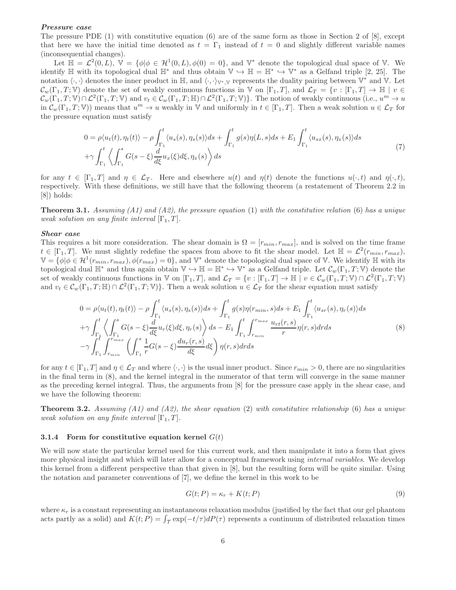#### Pressure case

The pressure PDE (1) with constitutive equation (6) are of the same form as those in Section 2 of [8], except that here we have the initial time denoted as  $t = \Gamma_1$  instead of  $t = 0$  and slightly different variable names (inconsequential changes).

Let  $\mathbb{H} = \mathcal{L}^2(0, L)$ ,  $\mathbb{V} = {\phi | \phi \in \mathcal{H}^1(0, L), \phi(0) = 0},$  and  $\mathbb{V}^*$  denote the topological dual space of V. We identify  $\mathbb H$  with its topological dual  $\mathbb H^*$  and thus obtain  $\mathbb V \hookrightarrow \mathbb H = \mathbb H^* \hookrightarrow \mathbb V^*$  as a Gelfand triple [2, 25]. The notation  $\langle \cdot, \cdot \rangle$  denotes the inner product in H, and  $\langle \cdot, \cdot \rangle_{\mathbb{V}^*,\mathbb{V}}$  represents the duality pairing between  $\mathbb{V}^*$  and  $\mathbb{V}$ . Let  $\mathcal{C}_w(\Gamma_1, T; \mathbb{V})$  denote the set of weakly continuous functions in V on  $[\Gamma_1, T]$ , and  $\mathcal{L}_T = \{v : [\Gamma_1, T] \to \mathbb{H} \mid v \in$  $\mathcal{C}_w(\Gamma_1, T; \mathbb{V}) \cap \mathcal{L}^2(\Gamma_1, T; \mathbb{V})$  and  $v_t \in \mathcal{C}_w(\Gamma_1, T; \mathbb{H}) \cap \mathcal{L}^2(\Gamma_1, T; \mathbb{V})\}$ . The notion of weakly continuous (i.e.,  $u^m \to u$ in  $\mathcal{C}_w(\Gamma_1, T; \mathbb{V})$  means that  $u^m \to u$  weakly in V and uniformly in  $t \in [\Gamma_1, T]$ . Then a weak solution  $u \in \mathcal{L}_T$  for the pressure equation must satisfy

$$
0 = \rho \langle u_t(t), \eta_t(t) \rangle - \rho \int_{\Gamma_1}^t \langle u_s(s), \eta_s(s) \rangle ds + \int_{\Gamma_1}^t g(s) \eta(L, s) ds + E_1 \int_{\Gamma_1}^t \langle u_{sx}(s), \eta_x(s) \rangle ds + \gamma \int_{\Gamma_1}^t \left\langle \int_{\Gamma_1}^s G(s - \xi) \frac{d}{d\xi} u_x(\xi) d\xi, \eta_x(s) \right\rangle ds
$$
(7)

for any  $t \in [\Gamma_1, T]$  and  $\eta \in \mathcal{L}_T$ . Here and elsewhere  $u(t)$  and  $\eta(t)$  denote the functions  $u(\cdot, t)$  and  $\eta(\cdot, t)$ , respectively. With these definitions, we still have that the following theorem (a restatement of Theorem 2.2 in [8]) holds:

**Theorem 3.1.** Assuming (A1) and (A2), the pressure equation (1) with the constitutive relation (6) has a unique weak solution on any finite interval  $[\Gamma_1, T]$ .

#### Shear case

This requires a bit more consideration. The shear domain is  $\Omega = [r_{min}, r_{max}]$ , and is solved on the time frame  $t \in [\Gamma_1, T]$ . We must slightly redefine the spaces from above to fit the shear model. Let  $\mathbb{H} = \mathcal{L}^2(r_{min}, r_{max})$ ,  $\mathbb{V} = {\phi | \phi \in \mathcal{H}^1(r_{min}, r_{max}), \phi(r_{max}) = 0},$  and  $\mathbb{V}^*$  denote the topological dual space of V. We identify  $\mathbb{H}$  with its topological dual  $\mathbb{H}^*$  and thus again obtain  $\mathbb{V} \hookrightarrow \mathbb{H} = \mathbb{H}^* \hookrightarrow \mathbb{V}^*$  as a Gelfand triple. Let  $\mathcal{C}_w(\Gamma_1, T; \mathbb{V})$  denote the set of weakly continuous functions in V on  $[\Gamma_1, T]$ , and  $\mathcal{L}_T = \{v : [\Gamma_1, T] \to \mathbb{H} \mid v \in \mathcal{C}_w(\Gamma_1, T; \mathbb{V}) \cap \mathcal{L}^2(\Gamma_1, T; \mathbb{V})\}$ and  $v_t \in \mathcal{C}_w(\Gamma_1, T; \mathbb{H}) \cap \mathcal{L}^2(\Gamma_1, T; \mathbb{V})$ . Then a weak solution  $u \in \mathcal{L}_T$  for the shear equation must satisfy

$$
0 = \rho \langle u_t(t), \eta_t(t) \rangle - \rho \int_{\Gamma_1}^t \langle u_s(s), \eta_s(s) \rangle ds + \int_{\Gamma_1}^t g(s) \eta(r_{min}, s) ds + E_1 \int_{\Gamma_1}^t \langle u_{sr}(s), \eta_r(s) \rangle ds + \gamma \int_{\Gamma_1}^t \left\langle \int_{\Gamma_1}^s G(s - \xi) \frac{d}{d\xi} u_r(\xi) d\xi, \eta_r(s) \right\rangle ds - E_1 \int_{\Gamma_1}^t \int_{r_{min}}^{r_{max}} \frac{u_{rt}(r, s)}{r} \eta(r, s) dr ds - \gamma \int_{\Gamma_1}^t \int_{r_{min}}^{r_{max}} \left( \int_{\Gamma_1}^s \frac{1}{r} G(s - \xi) \frac{du_r(r, s)}{d\xi} d\xi \right) \eta(r, s) dr ds
$$
 (8)

for any  $t \in [\Gamma_1, T]$  and  $\eta \in \mathcal{L}_T$  and where  $\langle \cdot, \cdot \rangle$  is the usual inner product. Since  $r_{min} > 0$ , there are no singularities in the final term in (8), and the kernel integral in the numerator of that term will converge in the same manner as the preceding kernel integral. Thus, the arguments from [8] for the pressure case apply in the shear case, and we have the following theorem:

**Theorem 3.2.** Assuming (A1) and (A2), the shear equation (2) with constitutive relationship (6) has a unique weak solution on any finite interval  $[\Gamma_1, T]$ .

#### 3.1.4 Form for constitutive equation kernel  $G(t)$

We will now state the particular kernel used for this current work, and then manipulate it into a form that gives more physical insight and which will later allow for a conceptual framework using *internal variables*. We develop this kernel from a different perspective than that given in [8], but the resulting form will be quite similar. Using the notation and parameter conventions of [7], we define the kernel in this work to be

$$
G(t;P) = \kappa_r + K(t;P)
$$
\n(9)

where  $\kappa_r$  is a constant representing an instantaneous relaxation modulus (justified by the fact that our gel phantom acts partly as a solid) and  $K(t; P) = \int_{\mathcal{T}} \exp(-t/\tau) dP(\tau)$  represents a continuum of distributed relaxation times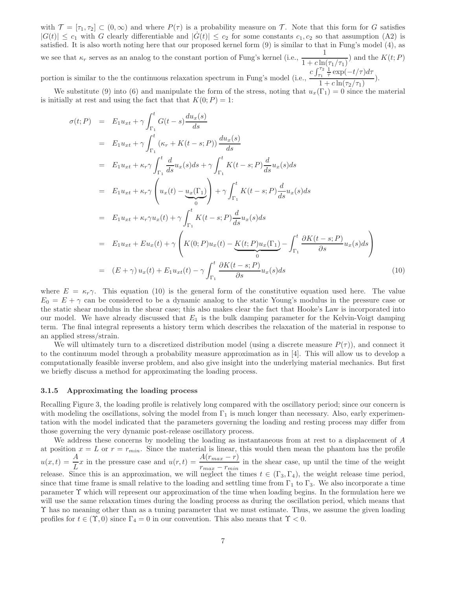with  $\mathcal{T} = [\tau_1, \tau_2] \subset (0, \infty)$  and where  $P(\tau)$  is a probability measure on T. Note that this form for G satisfies  $|G(t)| \leq c_1$  with G clearly differentiable and  $|\dot{G}(t)| \leq c_2$  for some constants  $c_1, c_2$  so that assumption (A2) is satisfied. It is also worth noting here that our proposed kernel form (9) is similar to that in Fung's model (4), as we see that  $\kappa_r$  serves as an analog to the constant portion of Fung's kernel (i.e.,  $\frac{1}{1+c\ln(\tau_1/\tau_1)}$ ) and the  $K(t; P)$ portion is similar to the the continuous relaxation spectrum in Fung's model (i.e.,  $c \int_{\tau_1}^{\tau_2} \frac{1}{\tau} \exp(-t/\tau) d\tau$  $\frac{\tau_1 + \tau_2 + \tau_3}{1 + c \ln(\tau_2/\tau_1)}$ ).

We substitute (9) into (6) and manipulate the form of the stress, noting that  $u_x(\Gamma_1) = 0$  since the material is initially at rest and using the fact that that  $K(0; P) = 1$ :

$$
\sigma(t; P) = E_1 u_{xt} + \gamma \int_{\Gamma_1}^t G(t - s) \frac{du_x(s)}{ds}
$$
  
\n
$$
= E_1 u_{xt} + \gamma \int_{\Gamma_1}^t (\kappa_r + K(t - s; P)) \frac{du_x(s)}{ds}
$$
  
\n
$$
= E_1 u_{xt} + \kappa_r \gamma \int_{\Gamma_1}^t \frac{d}{ds} u_x(s) ds + \gamma \int_{\Gamma_1}^t K(t - s; P) \frac{d}{ds} u_x(s) ds
$$
  
\n
$$
= E_1 u_{xt} + \kappa_r \gamma \left( u_x(t) - \underbrace{u_x(\Gamma_1)}_0 \right) + \gamma \int_{\Gamma_1}^t K(t - s; P) \frac{d}{ds} u_x(s) ds
$$
  
\n
$$
= E_1 u_{xt} + \kappa_r \gamma u_x(t) + \gamma \int_{\Gamma_1}^t K(t - s; P) \frac{d}{ds} u_x(s) ds
$$
  
\n
$$
= E_1 u_{xt} + E u_x(t) + \gamma \left( K(0; P) u_x(t) - \underbrace{K(t; P) u_x(\Gamma_1)}_0 - \int_{\Gamma_1}^t \frac{\partial K(t - s; P)}{\partial s} u_x(s) ds \right)
$$
  
\n
$$
= (E + \gamma) u_x(t) + E_1 u_{xt}(t) - \gamma \int_{\Gamma_1}^t \frac{\partial K(t - s; P)}{\partial s} u_x(s) ds \qquad (10)
$$

where  $E = \kappa_r \gamma$ . This equation (10) is the general form of the constitutive equation used here. The value  $E_0 = E + \gamma$  can be considered to be a dynamic analog to the static Young's modulus in the pressure case or the static shear modulus in the shear case; this also makes clear the fact that Hooke's Law is incorporated into our model. We have already discussed that  $E_1$  is the bulk damping parameter for the Kelvin-Voigt damping term. The final integral represents a history term which describes the relaxation of the material in response to an applied stress/strain.

We will ultimately turn to a discretized distribution model (using a discrete measure  $P(\tau)$ ), and connect it to the continuum model through a probability measure approximation as in [4]. This will allow us to develop a computationally feasible inverse problem, and also give insight into the underlying material mechanics. But first we briefly discuss a method for approximating the loading process.

#### 3.1.5 Approximating the loading process

Recalling Figure 3, the loading profile is relatively long compared with the oscillatory period; since our concern is with modeling the oscillations, solving the model from  $\Gamma_1$  is much longer than necessary. Also, early experimentation with the model indicated that the parameters governing the loading and resting process may differ from those governing the very dynamic post-release oscillatory process.

We address these concerns by modeling the loading as instantaneous from at rest to a displacement of A at position  $x = L$  or  $r = r_{min}$ . Since the material is linear, this would then mean the phantom has the profile  $u(x,t) = \frac{A}{L}x$  in the pressure case and  $u(r,t) = \frac{A(r_{max} - r)}{r_{max} - r_{min}}$  in the shear case, up until the time of the weight release. Since this is an approximation, we will neglect the times  $t \in (\Gamma_3, \Gamma_4)$ , the weight release time period, since that time frame is small relative to the loading and settling time from  $\Gamma_1$  to  $\Gamma_3$ . We also incorporate a time parameter Υ which will represent our approximation of the time when loading begins. In the formulation here we will use the same relaxation times during the loading process as during the oscillation period, which means that Υ has no meaning other than as a tuning parameter that we must estimate. Thus, we assume the given loading profiles for  $t \in (\Upsilon, 0)$  since  $\Gamma_4 = 0$  in our convention. This also means that  $\Upsilon < 0$ .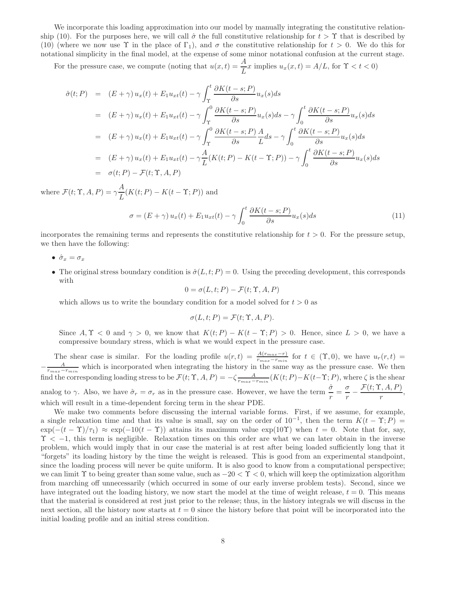We incorporate this loading approximation into our model by manually integrating the constitutive relationship (10). For the purposes here, we will call  $\hat{\sigma}$  the full constitutive relationship for  $t > \Upsilon$  that is described by (10) (where we now use  $\Upsilon$  in the place of  $\Gamma_1$ ), and  $\sigma$  the constitutive relationship for  $t > 0$ . We do this for notational simplicity in the final model, at the expense of some minor notational confusion at the current stage.

For the pressure case, we compute (noting that  $u(x,t) = \frac{A}{L}x$  implies  $u_x(x,t) = A/L$ , for  $\Upsilon < t < 0$ )

$$
\hat{\sigma}(t;P) = (E + \gamma) u_x(t) + E_1 u_{xt}(t) - \gamma \int_{\Upsilon}^t \frac{\partial K(t - s; P)}{\partial s} u_x(s) ds
$$
  
\n
$$
= (E + \gamma) u_x(t) + E_1 u_{xt}(t) - \gamma \int_{\Upsilon}^0 \frac{\partial K(t - s; P)}{\partial s} u_x(s) ds - \gamma \int_0^t \frac{\partial K(t - s; P)}{\partial s} u_x(s) ds
$$
  
\n
$$
= (E + \gamma) u_x(t) + E_1 u_{xt}(t) - \gamma \int_{\Upsilon}^0 \frac{\partial K(t - s; P)}{\partial s} \frac{A}{L} ds - \gamma \int_0^t \frac{\partial K(t - s; P)}{\partial s} u_x(s) ds
$$
  
\n
$$
= (E + \gamma) u_x(t) + E_1 u_{xt}(t) - \gamma \frac{A}{L} (K(t; P) - K(t - \Upsilon; P)) - \gamma \int_0^t \frac{\partial K(t - s; P)}{\partial s} u_x(s) ds
$$
  
\n
$$
= \sigma(t; P) - \mathcal{F}(t; \Upsilon, A, P)
$$

where  $\mathcal{F}(t; \Upsilon, A, P) = \gamma \frac{A}{I}$  $\frac{1}{L}(K(t;P) - K(t-\Upsilon;P))$  and

$$
\sigma = (E + \gamma) u_x(t) + E_1 u_{xt}(t) - \gamma \int_0^t \frac{\partial K(t - s; P)}{\partial s} u_x(s) ds \tag{11}
$$

incorporates the remaining terms and represents the constitutive relationship for  $t > 0$ . For the pressure setup, we then have the following:

- $\hat{\sigma}_x = \sigma_x$
- The original stress boundary condition is  $\hat{\sigma}(L, t; P) = 0$ . Using the preceding development, this corresponds with

 $0 = \sigma(L, t; P) - \mathcal{F}(t; \Upsilon, A, P)$ 

which allows us to write the boundary condition for a model solved for  $t > 0$  as

$$
\sigma(L, t; P) = \mathcal{F}(t; \Upsilon, A, P).
$$

Since  $A, \Upsilon < 0$  and  $\gamma > 0$ , we know that  $K(t; P) - K(t - \Upsilon; P) > 0$ . Hence, since  $L > 0$ , we have a compressive boundary stress, which is what we would expect in the pressure case.

The shear case is similar. For the loading profile  $u(r,t) = \frac{A(r_{max}-r)}{r_{max}-r_{min}}$  for  $t \in (\Upsilon,0)$ , we have  $u_r(r,t)$  $-\frac{A}{r_{max}-r_{min}}$  which is incorporated when integrating the history in the same way as the pressure case. We then find the corresponding loading stress to be  $\mathcal{F}(t; \Upsilon, A, P) = -\zeta \frac{A}{r_{max}-r_{min}}(K(t; P)-K(t-\Upsilon; P))$ , where  $\zeta$  is the shear analog to γ. Also, we have  $\hat{\sigma}_r = \sigma_r$  as in the pressure case. However, we have the term  $\frac{\hat{\sigma}}{r} = \frac{\sigma}{r}$  $\frac{\sigma}{r} - \frac{\mathcal{F}(t; \Upsilon, A, P)}{r}$  $\frac{\frac{1}{1-r}}{r},$ which will result in a time-dependent forcing term in the shear PDE.

We make two comments before discussing the internal variable forms. First, if we assume, for example, a single relaxation time and that its value is small, say on the order of  $10^{-1}$ , then the term  $K(t - \Upsilon; P)$  $\exp(-(t-\Upsilon)/\tau_1) \approx \exp(-10(t-\Upsilon))$  attains its maximum value  $\exp(10\Upsilon)$  when  $t=0$ . Note that for, say,  $\Upsilon$  < -1, this term is negligible. Relaxation times on this order are what we can later obtain in the inverse problem, which would imply that in our case the material is at rest after being loaded sufficiently long that it "forgets" its loading history by the time the weight is released. This is good from an experimental standpoint, since the loading process will never be quite uniform. It is also good to know from a computational perspective; we can limit  $\Upsilon$  to being greater than some value, such as  $-20 < \Upsilon < 0$ , which will keep the optimization algorithm from marching off unnecessarily (which occurred in some of our early inverse problem tests). Second, since we have integrated out the loading history, we now start the model at the time of weight release,  $t = 0$ . This means that the material is considered at rest just prior to the release; thus, in the history integrals we will discuss in the next section, all the history now starts at  $t = 0$  since the history before that point will be incorporated into the initial loading profile and an initial stress condition.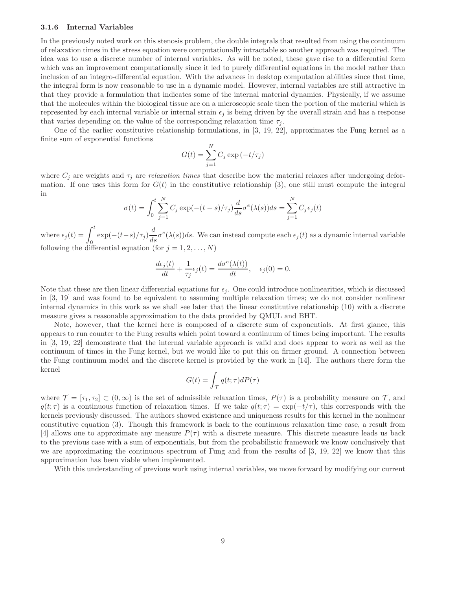#### 3.1.6 Internal Variables

In the previously noted work on this stenosis problem, the double integrals that resulted from using the continuum of relaxation times in the stress equation were computationally intractable so another approach was required. The idea was to use a discrete number of internal variables. As will be noted, these gave rise to a differential form which was an improvement computationally since it led to purely differential equations in the model rather than inclusion of an integro-differential equation. With the advances in desktop computation abilities since that time, the integral form is now reasonable to use in a dynamic model. However, internal variables are still attractive in that they provide a formulation that indicates some of the internal material dynamics. Physically, if we assume that the molecules within the biological tissue are on a microscopic scale then the portion of the material which is represented by each internal variable or internal strain  $\epsilon_i$  is being driven by the overall strain and has a response that varies depending on the value of the corresponding relaxation time  $\tau_i$ .

One of the earlier constitutive relationship formulations, in [3, 19, 22], approximates the Fung kernel as a finite sum of exponential functions

$$
G(t) = \sum_{j=1}^{N} C_j \exp(-t/\tau_j)
$$

where  $C_j$  are weights and  $\tau_j$  are *relaxation times* that describe how the material relaxes after undergoing deformation. If one uses this form for  $G(t)$  in the constitutive relationship (3), one still must compute the integral in

$$
\sigma(t) = \int_0^t \sum_{j=1}^N C_j \exp(-(t-s)/\tau_j) \frac{d}{ds} \sigma^e(\lambda(s)) ds = \sum_{j=1}^N C_j \epsilon_j(t)
$$

where  $\epsilon_j(t) = \int_0^t \exp(-(t-s)/\tau_j) \frac{d}{ds} \sigma^e(\lambda(s)) ds$ . We can instead compute each  $\epsilon_j(t)$  as a dynamic internal variable following the differential equation (for  $j = 1, 2, \ldots, N$ )

$$
\frac{d\epsilon_j(t)}{dt} + \frac{1}{\tau_j} \epsilon_j(t) = \frac{d\sigma^e(\lambda(t))}{dt}, \quad \epsilon_j(0) = 0.
$$

Note that these are then linear differential equations for  $\epsilon_j$ . One could introduce nonlinearities, which is discussed in [3, 19] and was found to be equivalent to assuming multiple relaxation times; we do not consider nonlinear internal dynamics in this work as we shall see later that the linear constitutive relationship (10) with a discrete measure gives a reasonable approximation to the data provided by QMUL and BHT.

Note, however, that the kernel here is composed of a discrete sum of exponentials. At first glance, this appears to run counter to the Fung results which point toward a continuum of times being important. The results in [3, 19, 22] demonstrate that the internal variable approach is valid and does appear to work as well as the continuum of times in the Fung kernel, but we would like to put this on firmer ground. A connection between the Fung continuum model and the discrete kernel is provided by the work in [14]. The authors there form the kernel

$$
G(t)=\int_{\mathcal{T}}q(t;\tau)dP(\tau)
$$

where  $\mathcal{T} = [\tau_1, \tau_2] \subset (0, \infty)$  is the set of admissible relaxation times,  $P(\tau)$  is a probability measure on  $\mathcal{T}$ , and  $q(t;\tau)$  is a continuous function of relaxation times. If we take  $q(t;\tau) = \exp(-t/\tau)$ , this corresponds with the kernels previously discussed. The authors showed existence and uniqueness results for this kernel in the nonlinear constitutive equation (3). Though this framework is back to the continuous relaxation time case, a result from [4] allows one to approximate any measure  $P(\tau)$  with a discrete measure. This discrete measure leads us back to the previous case with a sum of exponentials, but from the probabilistic framework we know conclusively that we are approximating the continuous spectrum of Fung and from the results of [3, 19, 22] we know that this approximation has been viable when implemented.

With this understanding of previous work using internal variables, we move forward by modifying our current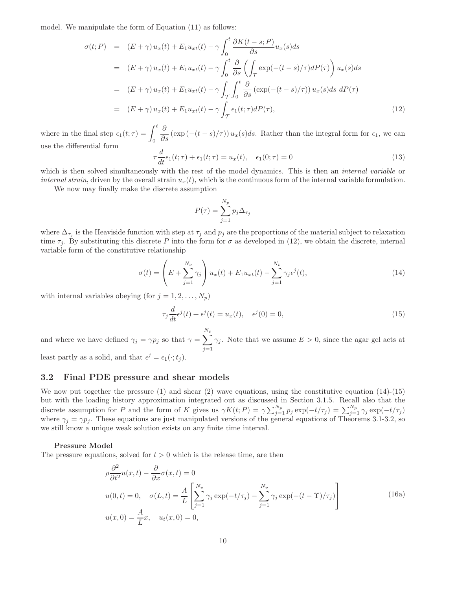model. We manipulate the form of Equation (11) as follows:

$$
\sigma(t;P) = (E+\gamma)u_x(t) + E_1u_{xt}(t) - \gamma \int_0^t \frac{\partial K(t-s;P)}{\partial s} u_x(s)ds
$$
  
\n
$$
= (E+\gamma)u_x(t) + E_1u_{xt}(t) - \gamma \int_0^t \frac{\partial}{\partial s} \left( \int_\mathcal{T} \exp(-(t-s)/\tau) dP(\tau) \right) u_x(s)ds
$$
  
\n
$$
= (E+\gamma)u_x(t) + E_1u_{xt}(t) - \gamma \int_\mathcal{T} \int_0^t \frac{\partial}{\partial s} (\exp(-(t-s)/\tau)) u_x(s)ds \ dP(\tau)
$$
  
\n
$$
= (E+\gamma)u_x(t) + E_1u_{xt}(t) - \gamma \int_\mathcal{T} \epsilon_1(t;\tau) dP(\tau), \tag{12}
$$

where in the final step  $\epsilon_1(t; \tau) = \int_0^t$  $\frac{\partial}{\partial s}$  (exp (-(t - s)/ $\tau$ ))  $u_x(s)ds$ . Rather than the integral form for  $\epsilon_1$ , we can use the differential form

$$
\tau \frac{d}{dt} \epsilon_1(t; \tau) + \epsilon_1(t; \tau) = u_x(t), \quad \epsilon_1(0; \tau) = 0 \tag{13}
$$

which is then solved simultaneously with the rest of the model dynamics. This is then an *internal variable* or internal strain, driven by the overall strain  $u_x(t)$ , which is the continuous form of the internal variable formulation.

We now may finally make the discrete assumption

$$
P(\tau) = \sum_{j=1}^{N_p} p_j \Delta_{\tau_j}
$$

where  $\Delta_{\tau_j}$  is the Heaviside function with step at  $\tau_j$  and  $p_j$  are the proportions of the material subject to relaxation time  $\tau_i$ . By substituting this discrete P into the form for  $\sigma$  as developed in (12), we obtain the discrete, internal variable form of the constitutive relationship

$$
\sigma(t) = \left( E + \sum_{j=1}^{N_p} \gamma_j \right) u_x(t) + E_1 u_{xt}(t) - \sum_{j=1}^{N_p} \gamma_j \epsilon^j(t), \tag{14}
$$

with internal variables obeying (for  $j = 1, 2, \ldots, N_p$ )

$$
\tau_j \frac{d}{dt} \epsilon^j(t) + \epsilon^j(t) = u_x(t), \quad \epsilon^j(0) = 0,
$$
\n(15)

and where we have defined  $\gamma_j = \gamma p_j$  so that  $\gamma = \sum$  $N_p$  $j=1$  $\gamma_j$ . Note that we assume  $E > 0$ , since the agar gel acts at least partly as a solid, and that  $\epsilon^j = \epsilon_1(\cdot; t_j)$ .

#### 3.2 Final PDE pressure and shear models

We now put together the pressure  $(1)$  and shear  $(2)$  wave equations, using the constitutive equation  $(14)-(15)$ but with the loading history approximation integrated out as discussed in Section 3.1.5. Recall also that the discrete assumption for P and the form of K gives us  $\gamma K(t; P) = \gamma \sum_{j=1}^{N_p} p_j \exp(-t/\tau_j) = \sum_{j=1}^{N_p} \gamma_j \exp(-t/\tau_j)$ where  $\gamma_j = \gamma p_j$ . These equations are just manipulated versions of the general equations of Theorems 3.1-3.2, so we still know a unique weak solution exists on any finite time interval.

#### Pressure Model

The pressure equations, solved for  $t > 0$  which is the release time, are then

$$
\rho \frac{\partial^2}{\partial t^2} u(x, t) - \frac{\partial}{\partial x} \sigma(x, t) = 0
$$
  
\n
$$
u(0, t) = 0, \quad \sigma(L, t) = \frac{A}{L} \left[ \sum_{j=1}^{N_p} \gamma_j \exp(-t/\tau_j) - \sum_{j=1}^{N_p} \gamma_j \exp(-(t - \Upsilon)/\tau_j) \right]
$$
  
\n
$$
u(x, 0) = \frac{A}{L} x, \quad u_t(x, 0) = 0,
$$
\n(16a)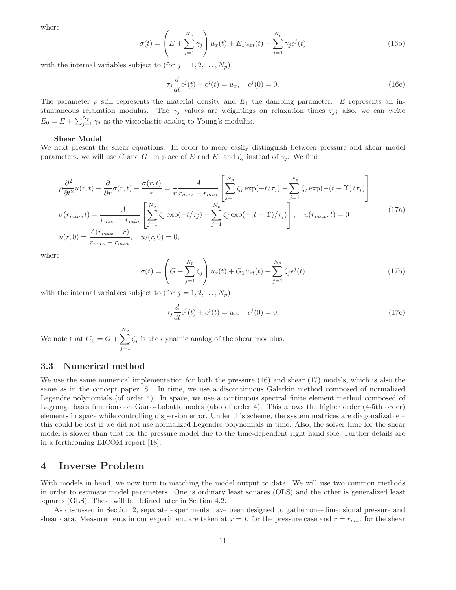where

$$
\sigma(t) = \left(E + \sum_{j=1}^{N_p} \gamma_j\right) u_x(t) + E_1 u_{xt}(t) - \sum_{j=1}^{N_p} \gamma_j \epsilon^j(t)
$$
\n(16b)

with the internal variables subject to (for  $j = 1, 2, \ldots, N_p$ )

$$
\tau_j \frac{d}{dt} \epsilon^j(t) + \epsilon^j(t) = u_x, \quad \epsilon^j(0) = 0.
$$
\n(16c)

The parameter  $\rho$  still represents the material density and  $E_1$  the damping parameter. E represents an instantaneous relaxation modulus. The  $\gamma_i$  values are weightings on relaxation times  $\tau_i$ ; also, we can write  $E_0 = E + \sum_{j=1}^{N_p} \gamma_j$  as the viscoelastic analog to Young's modulus.

#### Shear Model

We next present the shear equations. In order to more easily distinguish between pressure and shear model parameters, we will use G and  $G_1$  in place of E and  $E_1$  and  $\zeta_i$  instead of  $\gamma_i$ . We find

$$
\rho \frac{\partial^2}{\partial t^2} u(r,t) - \frac{\partial}{\partial r} \sigma(r,t) - \frac{\sigma(r,t)}{r} = \frac{1}{r} \frac{A}{r_{max} - r_{min}} \left[ \sum_{j=1}^{N_p} \zeta_j \exp(-t/\tau_j) - \sum_{j=1}^{N_p} \zeta_j \exp(-(t-\Upsilon)/\tau_j) \right]
$$

$$
\sigma(r_{min}, t) = \frac{-A}{r_{max} - r_{min}} \left[ \sum_{j=1}^{N_p} \zeta_j \exp(-t/\tau_j) - \sum_{j=1}^{N_p} \zeta_j \exp(-(t-\Upsilon)/\tau_j) \right], \quad u(r_{max}, t) = 0
$$
(17a)
$$
u(r, 0) = \frac{A(r_{max} - r)}{r_{max} - r_{min}}, \quad u_t(r, 0) = 0,
$$

where

$$
\sigma(t) = \left( G + \sum_{j=1}^{N_p} \zeta_j \right) u_r(t) + G_1 u_{rt}(t) - \sum_{j=1}^{N_p} \zeta_j \epsilon^j(t)
$$
\n(17b)

with the internal variables subject to  $($ for  $j = 1, 2, ..., N_p)$ 

$$
\tau_j \frac{d}{dt} \epsilon^j(t) + \epsilon^j(t) = u_r, \quad \epsilon^j(0) = 0.
$$
\n(17c)

We note that  $G_0 = G + \sum$  $N_p$  $j=1$  $\zeta_j$  is the dynamic analog of the shear modulus.

#### 3.3 Numerical method

We use the same numerical implementation for both the pressure (16) and shear (17) models, which is also the same as in the concept paper [8]. In time, we use a discontinuous Galerkin method composed of normalized Legendre polynomials (of order 4). In space, we use a continuous spectral finite element method composed of Lagrange basis functions on Gauss-Lobatto nodes (also of order 4). This allows the higher order (4-5th order) elements in space while controlling dispersion error. Under this scheme, the system matrices are diagonalizable – this could be lost if we did not use normalized Legendre polynomials in time. Also, the solver time for the shear model is slower than that for the pressure model due to the time-dependent right hand side. Further details are in a forthcoming BICOM report [18].

### 4 Inverse Problem

With models in hand, we now turn to matching the model output to data. We will use two common methods in order to estimate model parameters. One is ordinary least squares (OLS) and the other is generalized least squares (GLS). These will be defined later in Section 4.2.

As discussed in Section 2, separate experiments have been designed to gather one-dimensional pressure and shear data. Measurements in our experiment are taken at  $x = L$  for the pressure case and  $r = r_{min}$  for the shear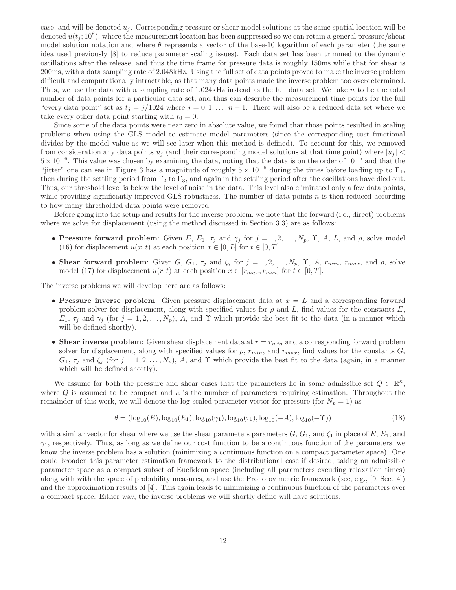case, and will be denoted  $u_i$ . Corresponding pressure or shear model solutions at the same spatial location will be denoted  $u(t_j; 10^{\theta})$ , where the measurement location has been suppressed so we can retain a general pressure/shear model solution notation and where  $\theta$  represents a vector of the base-10 logarithm of each parameter (the same idea used previously [8] to reduce parameter scaling issues). Each data set has been trimmed to the dynamic oscillations after the release, and thus the time frame for pressure data is roughly 150ms while that for shear is 200ms, with a data sampling rate of 2.048kHz. Using the full set of data points proved to make the inverse problem difficult and computationally intractable, as that many data points made the inverse problem too overdetermined. Thus, we use the data with a sampling rate of 1.024kHz instead as the full data set. We take n to be the total number of data points for a particular data set, and thus can describe the measurement time points for the full "every data point" set as  $t_j = j/1024$  where  $j = 0, 1, \ldots, n-1$ . There will also be a reduced data set where we take every other data point starting with  $t_0 = 0$ .

Since some of the data points were near zero in absolute value, we found that those points resulted in scaling problems when using the GLS model to estimate model parameters (since the corresponding cost functional divides by the model value as we will see later when this method is defined). To account for this, we removed from consideration any data points  $u_i$  (and their corresponding model solutions at that time point) where  $|u_i|$  $5 \times 10^{-6}$ . This value was chosen by examining the data, noting that the data is on the order of  $10^{-5}$  and that the "jitter" one can see in Figure 3 has a magnitude of roughly  $5 \times 10^{-6}$  during the times before loading up to  $\Gamma_1$ , then during the settling period from  $\Gamma_2$  to  $\Gamma_3$ , and again in the settling period after the oscillations have died out. Thus, our threshold level is below the level of noise in the data. This level also eliminated only a few data points, while providing significantly improved GLS robustness. The number of data points  $n$  is then reduced according to how many thresholded data points were removed.

Before going into the setup and results for the inverse problem, we note that the forward (i.e., direct) problems where we solve for displacement (using the method discussed in Section 3.3) are as follows:

- Pressure forward problem: Given E,  $E_1$ ,  $\tau_j$  and  $\gamma_j$  for  $j = 1, 2, ..., N_p$ ,  $\Upsilon$ , A, L, and  $\rho$ , solve model (16) for displacement  $u(x, t)$  at each position  $x \in [0, L]$  for  $t \in [0, T]$ .
- Shear forward problem: Given G,  $G_1$ ,  $\tau_j$  and  $\zeta_j$  for  $j = 1, 2, ..., N_p, \Upsilon, A, r_{min}, r_{max}$ , and  $\rho$ , solve model (17) for displacement  $u(r, t)$  at each position  $x \in [r_{max}, r_{min}]$  for  $t \in [0, T]$ .

The inverse problems we will develop here are as follows:

- Pressure inverse problem: Given pressure displacement data at  $x = L$  and a corresponding forward problem solver for displacement, along with specified values for  $\rho$  and L, find values for the constants E,  $E_1, \tau_j$  and  $\gamma_j$  (for  $j = 1, 2, \ldots, N_p$ ), A, and Y which provide the best fit to the data (in a manner which will be defined shortly).
- Shear inverse problem: Given shear displacement data at  $r = r_{min}$  and a corresponding forward problem solver for displacement, along with specified values for  $\rho$ ,  $r_{min}$ , and  $r_{max}$ , find values for the constants G,  $G_1$ ,  $\tau_j$  and  $\zeta_j$  (for  $j = 1, 2, \ldots, N_p$ ), A, and  $\Upsilon$  which provide the best fit to the data (again, in a manner which will be defined shortly).

We assume for both the pressure and shear cases that the parameters lie in some admissible set  $Q \subset \mathbb{R}^k$ , where Q is assumed to be compact and  $\kappa$  is the number of parameters requiring estimation. Throughout the remainder of this work, we will denote the log-scaled parameter vector for pressure (for  $N_p = 1$ ) as

$$
\theta = (\log_{10}(E), \log_{10}(E_1), \log_{10}(\gamma_1), \log_{10}(\tau_1), \log_{10}(-A), \log_{10}(-\Upsilon))
$$
\n(18)

with a similar vector for shear where we use the shear parameters parameters  $G, G_1$ , and  $\zeta_1$  in place of E,  $E_1$ , and  $\gamma_1$ , respectively. Thus, as long as we define our cost function to be a continuous function of the parameters, we know the inverse problem has a solution (minimizing a continuous function on a compact parameter space). One could broaden this parameter estimation framework to the distributional case if desired, taking an admissible parameter space as a compact subset of Euclidean space (including all parameters excuding relaxation times) along with with the space of probability measures, and use the Prohorov metric framework (see, e.g., [9, Sec. 4]) and the approximation results of [4]. This again leads to minimizing a continuous function of the parameters over a compact space. Either way, the inverse problems we will shortly define will have solutions.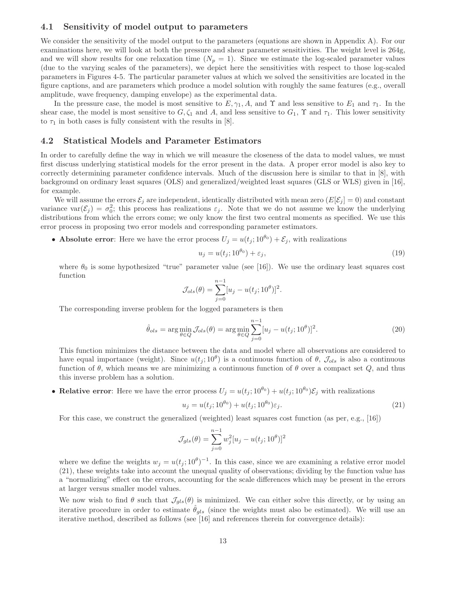### 4.1 Sensitivity of model output to parameters

We consider the sensitivity of the model output to the parameters (equations are shown in Appendix A). For our examinations here, we will look at both the pressure and shear parameter sensitivities. The weight level is 264g, and we will show results for one relaxation time  $(N_p = 1)$ . Since we estimate the log-scaled parameter values (due to the varying scales of the parameters), we depict here the sensitivities with respect to those log-scaled parameters in Figures 4-5. The particular parameter values at which we solved the sensitivities are located in the figure captions, and are parameters which produce a model solution with roughly the same features (e.g., overall amplitude, wave frequency, damping envelope) as the experimental data.

In the pressure case, the model is most sensitive to  $E, \gamma_1, A$ , and  $\Upsilon$  and less sensitive to  $E_1$  and  $\tau_1$ . In the shear case, the model is most sensitive to  $G, \zeta_1$  and A, and less sensitive to  $G_1$ ,  $\Upsilon$  and  $\tau_1$ . This lower sensitivity to  $\tau_1$  in both cases is fully consistent with the results in [8].

#### 4.2 Statistical Models and Parameter Estimators

In order to carefully define the way in which we will measure the closeness of the data to model values, we must first discuss underlying statistical models for the error present in the data. A proper error model is also key to correctly determining parameter confidence intervals. Much of the discussion here is similar to that in [8], with background on ordinary least squares (OLS) and generalized/weighted least squares (GLS or WLS) given in [16], for example.

We will assume the errors  $\mathcal{E}_j$  are independent, identically distributed with mean zero  $(E[\mathcal{E}_j] = 0)$  and constant variance var $(\mathcal{E}_j) = \sigma_0^2$ ; this process has realizations  $\varepsilon_j$ . Note that we do not assume we know the underlying distributions from which the errors come; we only know the first two central moments as specified. We use this error process in proposing two error models and corresponding parameter estimators.

• **Absolute error**: Here we have the error process  $U_j = u(t_j; 10^{\theta_0}) + \mathcal{E}_j$ , with realizations

$$
u_j = u(t_j; 10^{\theta_0}) + \varepsilon_j,\tag{19}
$$

where  $\theta_0$  is some hypothesized "true" parameter value (see [16]). We use the ordinary least squares cost function

$$
\mathcal{J}_{ols}(\theta) = \sum_{j=0}^{n-1} [u_j - u(t_j; 10^{\theta})]^2.
$$

The corresponding inverse problem for the logged parameters is then

$$
\hat{\theta}_{ols} = \arg\min_{\theta \in Q} \mathcal{J}_{ols}(\theta) = \arg\min_{\theta \in Q} \sum_{j=0}^{n-1} [u_j - u(t_j; 10^\theta)]^2.
$$
\n(20)

This function minimizes the distance between the data and model where all observations are considered to have equal importance (weight). Since  $u(t_j; 10^\theta)$  is a continuous function of  $\theta$ ,  $\mathcal{J}_{ols}$  is also a continuous function of  $\theta$ , which means we are minimizing a continuous function of  $\theta$  over a compact set  $Q$ , and thus this inverse problem has a solution.

• Relative error: Here we have the error process  $U_j = u(t_j; 10^{\theta_0}) + u(t_j; 10^{\theta_0}) \mathcal{E}_j$  with realizations

$$
u_j = u(t_j; 10^{\theta_0}) + u(t_j; 10^{\theta_0})\varepsilon_j.
$$
\n(21)

For this case, we construct the generalized (weighted) least squares cost function (as per, e.g., [16])

$$
\mathcal{J}_{gls}(\theta) = \sum_{j=0}^{n-1} w_j^2 [u_j - u(t_j; 10^{\theta})]^2
$$

where we define the weights  $w_j = u(t_j; 10^{\theta})^{-1}$ . In this case, since we are examining a relative error model (21), these weights take into account the unequal quality of observations; dividing by the function value has a "normalizing" effect on the errors, accounting for the scale differences which may be present in the errors at larger versus smaller model values.

We now wish to find  $\theta$  such that  $\mathcal{J}_{qls}(\theta)$  is minimized. We can either solve this directly, or by using an iterative procedure in order to estimate  $\hat{\theta}_{qls}$  (since the weights must also be estimated). We will use an iterative method, described as follows (see [16] and references therein for convergence details):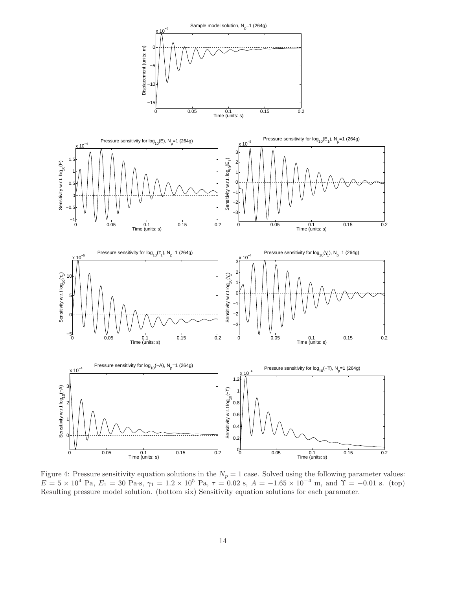

Figure 4: Pressure sensitivity equation solutions in the  $N_p = 1$  case. Solved using the following parameter values:  $E = 5 \times 10^4$  Pa,  $E_1 = 30$  Pa·s,  $\gamma_1 = 1.2 \times 10^5$  Pa,  $\tau = 0.02$  s,  $A = -1.65 \times 10^{-4}$  m, and  $\Upsilon = -0.01$  s. (top) Resulting pressure model solution. (bottom six) Sensitivity equation solutions for each parameter.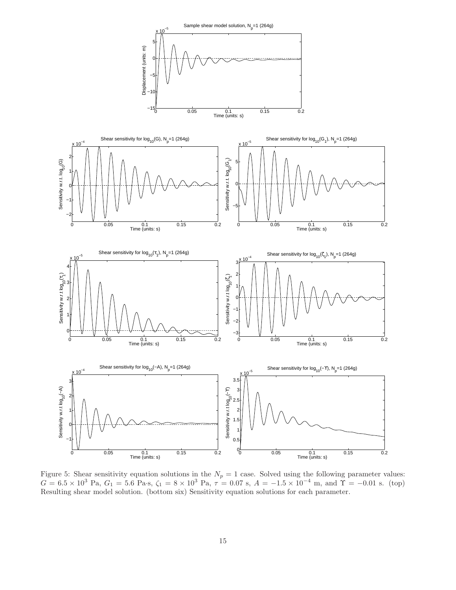

Figure 5: Shear sensitivity equation solutions in the  $N_p = 1$  case. Solved using the following parameter values:  $G = 6.5 \times 10^3$  Pa,  $G_1 = 5.6$  Pa·s,  $\zeta_1 = 8 \times 10^3$  Pa,  $\tau = 0.07$  s,  $A = -1.5 \times 10^{-4}$  m, and  $\Upsilon = -0.01$  s. (top) Resulting shear model solution. (bottom six) Sensitivity equation solutions for each parameter.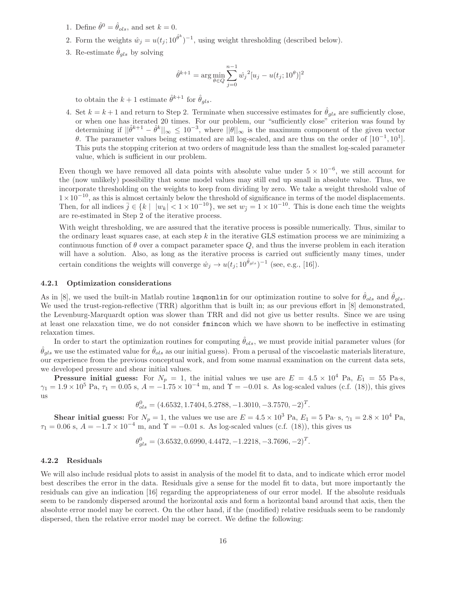- 1. Define  $\hat{\theta}^0 = \hat{\theta}_{ols}$ , and set  $k = 0$ .
- 2. Form the weights  $\hat{w}_j = u(t_j; 10^{\hat{\theta}^k})^{-1}$ , using weight thresholding (described below).
- 3. Re-estimate  $\hat{\theta}_{qls}$  by solving

$$
\hat{\theta}^{k+1} = \arg\min_{\theta \in Q} \sum_{j=0}^{n-1} \hat{w}_j^2 [u_j - u(t_j; 10^\theta)]^2
$$

to obtain the  $k+1$  estimate  $\hat{\theta}^{k+1}$  for  $\hat{\theta}_{gls}$ .

4. Set  $k = k + 1$  and return to Step 2. Terminate when successive estimates for  $\hat{\theta}_{gls}$  are sufficiently close, or when one has iterated 20 times. For our problem, our "sufficiently close" criterion was found by determining if  $||\hat{\theta}^{k+1} - \hat{\theta}^k||_{\infty} \leq 10^{-3}$ , where  $||\theta||_{\infty}$  is the maximum component of the given vector θ. The parameter values being estimated are all log-scaled, and are thus on the order of  $[10^{-1}, 10^1]$ . This puts the stopping criterion at two orders of magnitude less than the smallest log-scaled parameter value, which is sufficient in our problem.

Even though we have removed all data points with absolute value under  $5 \times 10^{-6}$ , we still account for the (now unlikely) possibility that some model values may still end up small in absolute value. Thus, we incorporate thresholding on the weights to keep from dividing by zero. We take a weight threshold value of  $1\times10^{-10}$ , as this is almost certainly below the threshold of significance in terms of the model displacements. Then, for all indices  $\bar{j} \in \{k \mid |w_k| < 1 \times 10^{-10}\}$ , we set  $w_{\bar{j}} = 1 \times 10^{-10}$ . This is done each time the weights are re-estimated in Step 2 of the iterative process.

With weight thresholding, we are assured that the iterative process is possible numerically. Thus, similar to the ordinary least squares case, at each step k in the iterative GLS estimation process we are minimizing a continuous function of  $\theta$  over a compact parameter space Q, and thus the inverse problem in each iteration will have a solution. Also, as long as the iterative process is carried out sufficiently many times, under certain conditions the weights will converge  $\hat{w}_j \to u(t_j; 10^{\hat{\theta}_{gls}})^{-1}$  (see, e.g., [16]).

#### 4.2.1 Optimization considerations

As in [8], we used the built-in Matlab routine 1sqnonlin for our optimization routine to solve for  $\hat{\theta}_{ols}$  and  $\hat{\theta}_{gls}$ . We used the trust-region-reflective (TRR) algorithm that is built in; as our previous effort in [8] demonstrated, the Levenburg-Marquardt option was slower than TRR and did not give us better results. Since we are using at least one relaxation time, we do not consider fmincon which we have shown to be ineffective in estimating relaxation times.

In order to start the optimization routines for computing  $\hat{\theta}_{ols}$ , we must provide initial parameter values (for  $\hat{\theta}_{ols}$  we use the estimated value for  $\hat{\theta}_{ols}$  as our initial guess). From a perusal of the viscoelastic materials literature, our experience from the previous conceptual work, and from some manual examination on the current data sets, we developed pressure and shear initial values.

**Pressure initial guess:** For  $N_p = 1$ , the initial values we use are  $E = 4.5 \times 10^4$  Pa,  $E_1 = 55$  Pa·s,  $\gamma_1 = 1.9 \times 10^5$  Pa,  $\tau_1 = 0.05$  s,  $A = -1.75 \times 10^{-4}$  m, and  $\Upsilon = -0.01$  s. As log-scaled values (c.f. (18)), this gives us

$$
\theta_{ols}^{0} = (4.6532, 1.7404, 5.2788, -1.3010, -3.7570, -2)^{T}.
$$

**Shear initial guess:** For  $N_p = 1$ , the values we use are  $E = 4.5 \times 10^3$  Pa,  $E_1 = 5$  Pa· s,  $\gamma_1 = 2.8 \times 10^4$  Pa,  $\tau_1 = 0.06$  s,  $A = -1.7 \times 10^{-4}$  m, and  $\Upsilon = -0.01$  s. As log-scaled values (c.f. (18)), this gives us

$$
\theta_{gls}^0 = (3.6532, 0.6990, 4.4472, -1.2218, -3.7696, -2)^T.
$$

#### 4.2.2 Residuals

We will also include residual plots to assist in analysis of the model fit to data, and to indicate which error model best describes the error in the data. Residuals give a sense for the model fit to data, but more importantly the residuals can give an indication [16] regarding the appropriateness of our error model. If the absolute residuals seem to be randomly dispersed around the horizontal axis and form a horizontal band around that axis, then the absolute error model may be correct. On the other hand, if the (modified) relative residuals seem to be randomly dispersed, then the relative error model may be correct. We define the following: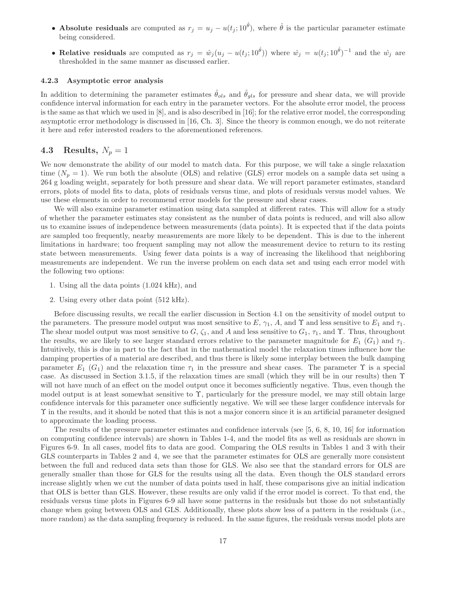- Absolute residuals are computed as  $r_j = u_j u(t_j; 10^{\hat{\theta}})$ , where  $\hat{\theta}$  is the particular parameter estimate being considered.
- Relative residuals are computed as  $r_j = \hat{w}_j (u_j u(t_j; 10^{\hat{\theta}}))$  where  $\hat{w}_j = u(t_j; 10^{\hat{\theta}})^{-1}$  and the  $\hat{w}_j$  are thresholded in the same manner as discussed earlier.

#### 4.2.3 Asymptotic error analysis

In addition to determining the parameter estimates  $\hat{\theta}_{ols}$  and  $\hat{\theta}_{ols}$  for pressure and shear data, we will provide confidence interval information for each entry in the parameter vectors. For the absolute error model, the process is the same as that which we used in [8], and is also described in [16]; for the relative error model, the corresponding asymptotic error methodology is discussed in [16, Ch. 3]. Since the theory is common enough, we do not reiterate it here and refer interested readers to the aforementioned references.

### 4.3 Results,  $N_p = 1$

We now demonstrate the ability of our model to match data. For this purpose, we will take a single relaxation time  $(N_p = 1)$ . We run both the absolute (OLS) and relative (GLS) error models on a sample data set using a 264 g loading weight, separately for both pressure and shear data. We will report parameter estimates, standard errors, plots of model fits to data, plots of residuals versus time, and plots of residuals versus model values. We use these elements in order to recommend error models for the pressure and shear cases.

We will also examine parameter estimation using data sampled at different rates. This will allow for a study of whether the parameter estimates stay consistent as the number of data points is reduced, and will also allow us to examine issues of independence between measurements (data points). It is expected that if the data points are sampled too frequently, nearby measurements are more likely to be dependent. This is due to the inherent limitations in hardware; too frequent sampling may not allow the measurement device to return to its resting state between measurements. Using fewer data points is a way of increasing the likelihood that neighboring measurements are independent. We run the inverse problem on each data set and using each error model with the following two options:

- 1. Using all the data points (1.024 kHz), and
- 2. Using every other data point (512 kHz).

Before discussing results, we recall the earlier discussion in Section 4.1 on the sensitivity of model output to the parameters. The pressure model output was most sensitive to E,  $\gamma_1$ , A, and  $\gamma$  and less sensitive to E<sub>1</sub> and  $\tau_1$ . The shear model output was most sensitive to  $G, \zeta_1$ , and A and less sensitive to  $G_1, \tau_1$ , and  $\Upsilon$ . Thus, throughout the results, we are likely to see larger standard errors relative to the parameter magnitude for  $E_1(G_1)$  and  $\tau_1$ . Intuitively, this is due in part to the fact that in the mathematical model the relaxation times influence how the damping properties of a material are described, and thus there is likely some interplay between the bulk damping parameter  $E_1(G_1)$  and the relaxation time  $\tau_1$  in the pressure and shear cases. The parameter  $\Upsilon$  is a special case. As discussed in Section 3.1.5, if the relaxation times are small (which they will be in our results) then  $\Upsilon$ will not have much of an effect on the model output once it becomes sufficiently negative. Thus, even though the model output is at least somewhat sensitive to Υ, particularly for the pressure model, we may still obtain large confidence intervals for this parameter once sufficiently negative. We will see these larger confidence intervals for Υ in the results, and it should be noted that this is not a major concern since it is an artificial parameter designed to approximate the loading process.

The results of the pressure parameter estimates and confidence intervals (see [5, 6, 8, 10, 16] for information on computing confidence intervals) are shown in Tables 1-4, and the model fits as well as residuals are shown in Figures 6-9. In all cases, model fits to data are good. Comparing the OLS results in Tables 1 and 3 with their GLS counterparts in Tables 2 and 4, we see that the parameter estimates for OLS are generally more consistent between the full and reduced data sets than those for GLS. We also see that the standard errors for OLS are generally smaller than those for GLS for the results using all the data. Even though the OLS standard errors increase slightly when we cut the number of data points used in half, these comparisons give an initial indication that OLS is better than GLS. However, these results are only valid if the error model is correct. To that end, the residuals versus time plots in Figures 6-9 all have some patterns in the residuals but those do not substantially change when going between OLS and GLS. Additionally, these plots show less of a pattern in the residuals (i.e., more random) as the data sampling frequency is reduced. In the same figures, the residuals versus model plots are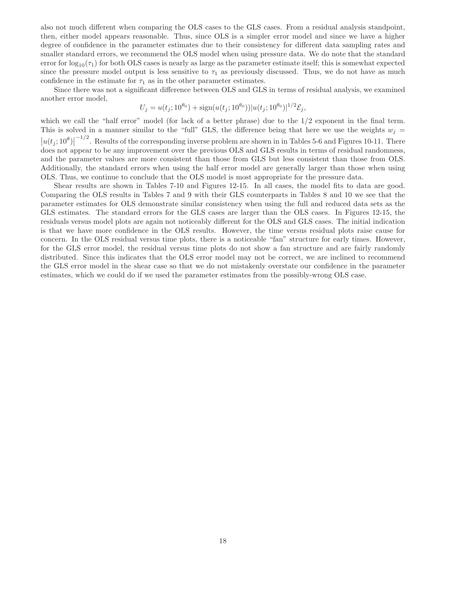also not much different when comparing the OLS cases to the GLS cases. From a residual analysis standpoint, then, either model appears reasonable. Thus, since OLS is a simpler error model and since we have a higher degree of confidence in the parameter estimates due to their consistency for different data sampling rates and smaller standard errors, we recommend the OLS model when using pressure data. We do note that the standard error for  $\log_{10}(\tau_1)$  for both OLS cases is nearly as large as the parameter estimate itself; this is somewhat expected since the pressure model output is less sensitive to  $\tau_1$  as previously discussed. Thus, we do not have as much confidence in the estimate for  $\tau_1$  as in the other parameter estimates.

Since there was not a significant difference between OLS and GLS in terms of residual analysis, we examined another error model,

$$
U_j = u(t_j; 10^{\theta_0}) + \text{sign}(u(t_j; 10^{\theta_0})) |u(t_j; 10^{\theta_0})|^{1/2} \mathcal{E}_j,
$$

which we call the "half error" model (for lack of a better phrase) due to the 1/2 exponent in the final term. This is solved in a manner similar to the "full" GLS, the difference being that here we use the weights  $w_j =$  $|u(t_j;10^\theta)|$  $-1/2$ . Results of the corresponding inverse problem are shown in in Tables 5-6 and Figures 10-11. There does not appear to be any improvement over the previous OLS and GLS results in terms of residual randomness, and the parameter values are more consistent than those from GLS but less consistent than those from OLS. Additionally, the standard errors when using the half error model are generally larger than those when using OLS. Thus, we continue to conclude that the OLS model is most appropriate for the pressure data.

Shear results are shown in Tables 7-10 and Figures 12-15. In all cases, the model fits to data are good. Comparing the OLS results in Tables 7 and 9 with their GLS counterparts in Tables 8 and 10 we see that the parameter estimates for OLS demonstrate similar consistency when using the full and reduced data sets as the GLS estimates. The standard errors for the GLS cases are larger than the OLS cases. In Figures 12-15, the residuals versus model plots are again not noticeably different for the OLS and GLS cases. The initial indication is that we have more confidence in the OLS results. However, the time versus residual plots raise cause for concern. In the OLS residual versus time plots, there is a noticeable "fan" structure for early times. However, for the GLS error model, the residual versus time plots do not show a fan structure and are fairly randomly distributed. Since this indicates that the OLS error model may not be correct, we are inclined to recommend the GLS error model in the shear case so that we do not mistakenly overstate our confidence in the parameter estimates, which we could do if we used the parameter estimates from the possibly-wrong OLS case.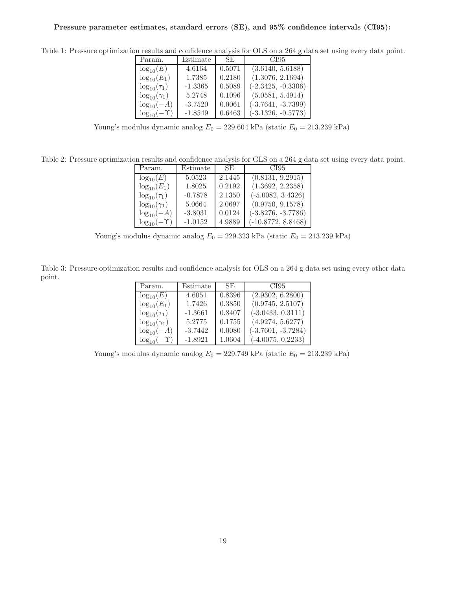| Param.                 | Estimate  | SE.    | CI95                 |
|------------------------|-----------|--------|----------------------|
| $\log_{10}(E)$         | 4.6164    | 0.5071 | (3.6140, 5.6188)     |
| $\log_{10}(E_1)$       | 1.7385    | 0.2180 | (1.3076, 2.1694)     |
| $\log_{10}(\tau_1)$    | $-1.3365$ | 0.5089 | $(-2.3425, -0.3306)$ |
| $\log_{10}(\gamma_1)$  | 5.2748    | 0.1096 | (5.0581, 5.4914)     |
| $log_{10}(-A)$         | $-3.7520$ | 0.0061 | $(-3.7641, -3.7399)$ |
| $\log_{10}(-\Upsilon)$ | $-1.8549$ | 0.6463 | $(-3.1326, -0.5773)$ |

Table 1: Pressure optimization results and confidence analysis for OLS on a 264 g data set using every data point.

Young's modulus dynamic analog  $E_0 = 229.604$  kPa (static  $E_0 = 213.239$  kPa)

Table 2: Pressure optimization results and confidence analysis for GLS on a 264 g data set using every data point.

| Param.                 | Estimate  | SE.    | CI95                 |
|------------------------|-----------|--------|----------------------|
| $\log_{10}(E)$         | 5.0523    | 2.1445 | (0.8131, 9.2915)     |
| $log_{10}(E_1)$        | 1.8025    | 0.2192 | (1.3692, 2.2358)     |
| $\log_{10}(\tau_1)$    | $-0.7878$ | 2.1350 | $(-5.0082, 3.4326)$  |
| $\log_{10}(\gamma_1)$  | 5.0664    | 2.0697 | (0.9750, 9.1578)     |
| $log_{10}(-A)$         | $-3.8031$ | 0.0124 | $(-3.8276, -3.7786)$ |
| $\log_{10}(-\Upsilon)$ | $-1.0152$ | 4.9889 | $(-10.8772, 8.8468)$ |

Young's modulus dynamic analog $E_0 = 229.323~\mathrm{kPa}$  (static  $E_0 = 213.239~\mathrm{kPa})$ 

Table 3: Pressure optimization results and confidence analysis for OLS on a 264 g data set using every other data point.

| Param.                 | Estimate  | SE.    | CI95                 |
|------------------------|-----------|--------|----------------------|
| $\log_{10}(E)$         | 4.6051    | 0.8396 | (2.9302, 6.2800)     |
| $log_{10}(E_1)$        | 1.7426    | 0.3850 | (0.9745, 2.5107)     |
| $\log_{10}(\tau_1)$    | $-1.3661$ | 0.8407 | $(-3.0433, 0.3111)$  |
| $\log_{10}(\gamma_1)$  | 5.2775    | 0.1755 | (4.9274, 5.6277)     |
| $log_{10}(-A)$         | $-3.7442$ | 0.0080 | $(-3.7601, -3.7284)$ |
| $\log_{10}(-\Upsilon)$ | $-1.8921$ | 1.0604 | $(-4.0075, 0.2233)$  |

Young's modulus dynamic analog  $E_0 = 229.749$  kPa (static  $E_0 = 213.239$  kPa)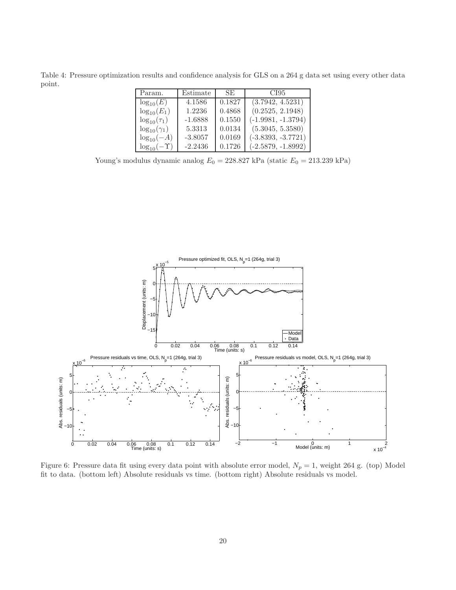Table 4: Pressure optimization results and confidence analysis for GLS on a 264 g data set using every other data point.

| Param.                 | Estimate  | SE.    | CI95                 |
|------------------------|-----------|--------|----------------------|
| $\log_{10}(E)$         | 4.1586    | 0.1827 | (3.7942, 4.5231)     |
| $log_{10}(E_1)$        | 1.2236    | 0.4868 | (0.2525, 2.1948)     |
| $\log_{10}(\tau_1)$    | $-1.6888$ | 0.1550 | $(-1.9981, -1.3794)$ |
| $\log_{10}(\gamma_1)$  | 5.3313    | 0.0134 | (5.3045, 5.3580)     |
| $\log_{10}(-A)$        | $-3.8057$ | 0.0169 | $(-3.8393, -3.7721)$ |
| $\log_{10}(-\Upsilon)$ | $-2.2436$ | 0.1726 | $(-2.5879, -1.8992)$ |

Young's modulus dynamic analog $E_0 = 228.827~\mathrm{kPa}$  (static  $E_0 = 213.239~\mathrm{kPa})$ 



Figure 6: Pressure data fit using every data point with absolute error model,  $N_p = 1$ , weight 264 g. (top) Model fit to data. (bottom left) Absolute residuals vs time. (bottom right) Absolute residuals vs model.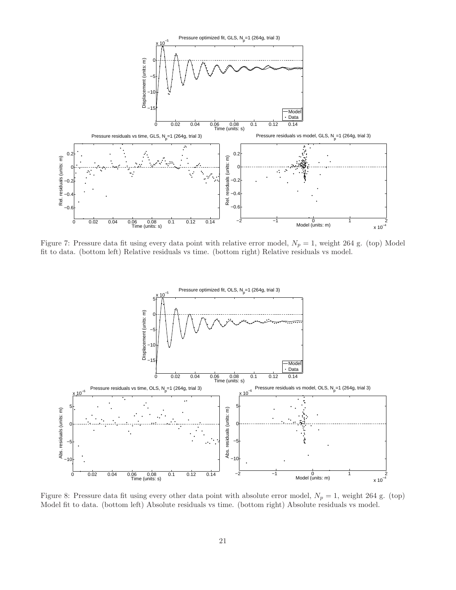

Figure 7: Pressure data fit using every data point with relative error model,  $N_p = 1$ , weight 264 g. (top) Model fit to data. (bottom left) Relative residuals vs time. (bottom right) Relative residuals vs model.



Figure 8: Pressure data fit using every other data point with absolute error model,  $N_p = 1$ , weight 264 g. (top) Model fit to data. (bottom left) Absolute residuals vs time. (bottom right) Absolute residuals vs model.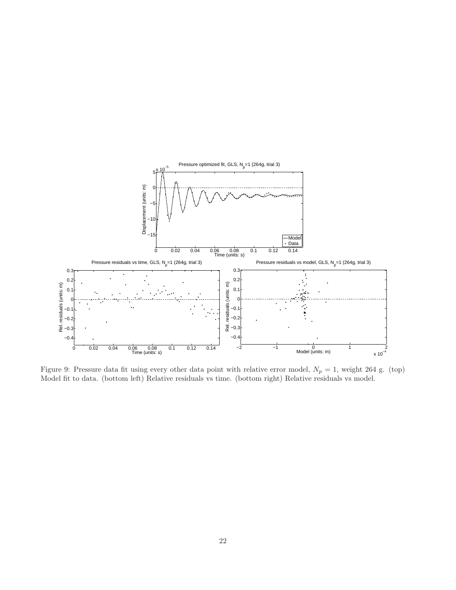

Figure 9: Pressure data fit using every other data point with relative error model,  $N_p = 1$ , weight 264 g. (top) Model fit to data. (bottom left) Relative residuals vs time. (bottom right) Relative residuals vs model.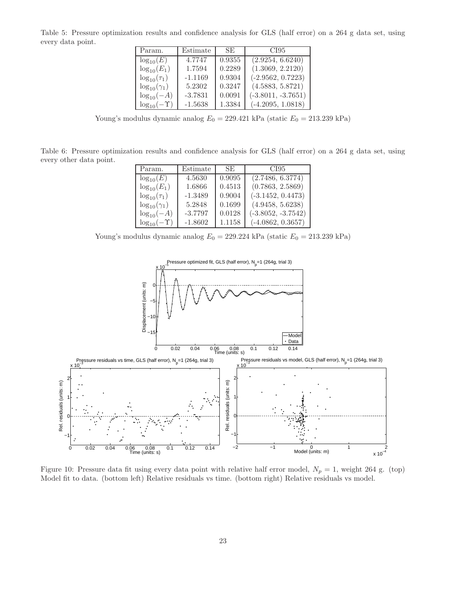Table 5: Pressure optimization results and confidence analysis for GLS (half error) on a 264 g data set, using every data point.

| Param.                 | Estimate  | SE.    | CI95                 |
|------------------------|-----------|--------|----------------------|
| $\log_{10}(E)$         | 4.7747    | 0.9355 | (2.9254, 6.6240)     |
| $log_{10}(E_1)$        | 1.7594    | 0.2289 | (1.3069, 2.2120)     |
| $\log_{10}(\tau_1)$    | $-1.1169$ | 0.9304 | $(-2.9562, 0.7223)$  |
| $\log_{10}(\gamma_1)$  | 5.2302    | 0.3247 | (4.5883, 5.8721)     |
| $log_{10}(-A)$         | $-3.7831$ | 0.0091 | $(-3.8011, -3.7651)$ |
| $\log_{10}(-\Upsilon)$ | $-1.5638$ | 1.3384 | $(-4.2095, 1.0818)$  |

Young's modulus dynamic analog  $E_0 = 229.421$  kPa (static  $E_0 = 213.239$  kPa)

Table 6: Pressure optimization results and confidence analysis for GLS (half error) on a 264 g data set, using every other data point.

| Param.                 | Estimate  | SE.    | CI95                 |
|------------------------|-----------|--------|----------------------|
| $\log_{10}(E)$         | 4.5630    | 0.9095 | (2.7486, 6.3774)     |
| $\log_{10}(E_1)$       | 1.6866    | 0.4513 | (0.7863, 2.5869)     |
| $\log_{10}(\tau_1)$    | $-1.3489$ | 0.9004 | $(-3.1452, 0.4473)$  |
| $\log_{10}(\gamma_1)$  | 5.2848    | 0.1699 | (4.9458, 5.6238)     |
| $log_{10}(-A)$         | $-3.7797$ | 0.0128 | $(-3.8052, -3.7542)$ |
| $\log_{10}(-\Upsilon)$ | $-1.8602$ | 1.1158 | $(-4.0862, 0.3657)$  |

Young's modulus dynamic analog  $E_0 = 229.224$  kPa (static  $E_0 = 213.239$  kPa)



Figure 10: Pressure data fit using every data point with relative half error model,  $N_p = 1$ , weight 264 g. (top) Model fit to data. (bottom left) Relative residuals vs time. (bottom right) Relative residuals vs model.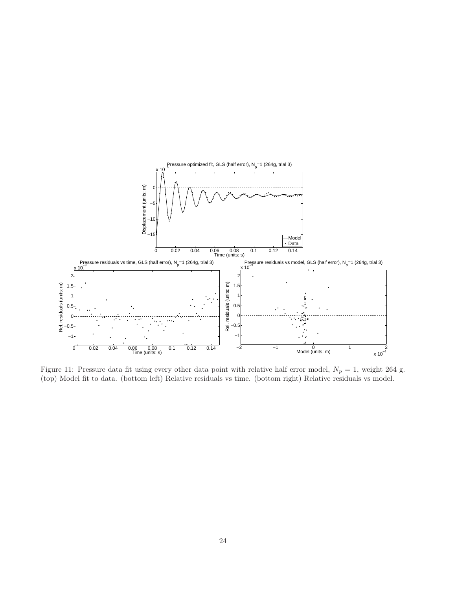

Figure 11: Pressure data fit using every other data point with relative half error model,  $N_p = 1$ , weight 264 g. (top) Model fit to data. (bottom left) Relative residuals vs time. (bottom right) Relative residuals vs model.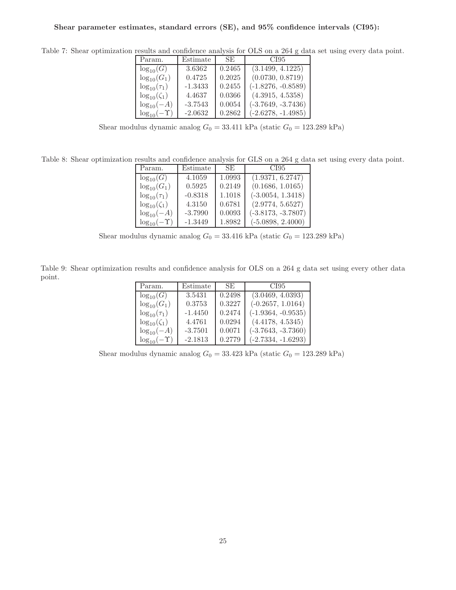| Param.                 | Estimate  | SE.    | CI95                 |
|------------------------|-----------|--------|----------------------|
| $\log_{10}(G)$         | 3.6362    | 0.2465 | (3.1499, 4.1225)     |
| $\log_{10}(G_1)$       | 0.4725    | 0.2025 | (0.0730, 0.8719)     |
| $\log_{10}(\tau_1)$    | $-1.3433$ | 0.2455 | $(-1.8276, -0.8589)$ |
| $\log_{10}(\zeta_1)$   | 4.4637    | 0.0366 | (4.3915, 4.5358)     |
| $log_{10}(-A)$         | $-3.7543$ | 0.0054 | $(-3.7649, -3.7436)$ |
| $\log_{10}(-\Upsilon)$ | $-2.0632$ | 0.2862 | $(-2.6278, -1.4985)$ |

Table 7: Shear optimization results and confidence analysis for OLS on a 264 g data set using every data point.

Shear modulus dynamic analog  $G_0 = 33.411$  kPa (static  $G_0 = 123.289$  kPa)

Table 8: Shear optimization results and confidence analysis for GLS on a 264 g data set using every data point.

| Param.                 | Estimate  | SE.    | CI95                 |
|------------------------|-----------|--------|----------------------|
| $\log_{10}(G)$         | 4.1059    | 1.0993 | (1.9371, 6.2747)     |
| $\log_{10}(G_1)$       | 0.5925    | 0.2149 | (0.1686, 1.0165)     |
| $\log_{10}(\tau_1)$    | $-0.8318$ | 1.1018 | $(-3.0054, 1.3418)$  |
| $\log_{10}(\zeta_1)$   | 4.3150    | 0.6781 | (2.9774, 5.6527)     |
| $log_{10}(-A)$         | $-3.7990$ | 0.0093 | $(-3.8173, -3.7807)$ |
| $\log_{10}(-\Upsilon)$ | $-1.3449$ | 1.8982 | $(-5.0898, 2.4000)$  |

Shear modulus dynamic analog $G_0 = 33.416$  kPa (static  $G_0 = 123.289$  kPa)

Table 9: Shear optimization results and confidence analysis for OLS on a 264 g data set using every other data point.

| Param.                 | Estimate  | SE.    | CI95                 |
|------------------------|-----------|--------|----------------------|
| $\log_{10}(G)$         | 3.5431    | 0.2498 | (3.0469, 4.0393)     |
| $log_{10}(G_1)$        | 0.3753    | 0.3227 | $(-0.2657, 1.0164)$  |
| $\log_{10}(\tau_1)$    | $-1.4450$ | 0.2474 | $(-1.9364, -0.9535)$ |
| $\log_{10}(\zeta_1)$   | 4.4761    | 0.0294 | (4.4178, 4.5345)     |
| $log_{10}(-A)$         | $-3.7501$ | 0.0071 | $(-3.7643, -3.7360)$ |
| $\log_{10}(-\Upsilon)$ | $-2.1813$ | 0.2779 | $(-2.7334, -1.6293)$ |

Shear modulus dynamic analog $G_0 = 33.423$  kPa (static  $G_0 = 123.289$  kPa)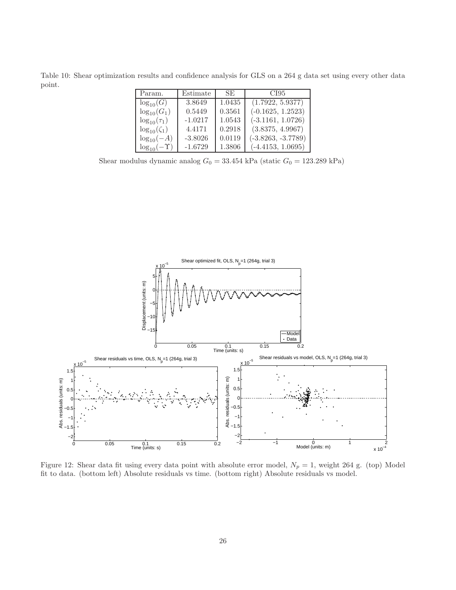Table 10: Shear optimization results and confidence analysis for GLS on a 264 g data set using every other data point.

| Param.                | Estimate  | SE.    | CI95                 |
|-----------------------|-----------|--------|----------------------|
| $log_{10}(G)$         | 3.8649    | 1.0435 | (1.7922, 5.9377)     |
| $\log_{10}(G_1)$      | 0.5449    | 0.3561 | $(-0.1625, 1.2523)$  |
| $\log_{10}(\tau_1)$   | $-1.0217$ | 1.0543 | $(-3.1161, 1.0726)$  |
| $\log_{10}(\zeta_1)$  | 4.4171    | 0.2918 | (3.8375, 4.9967)     |
| $\log_{10}(-A)$       | $-3.8026$ | 0.0119 | $(-3.8263, -3.7789)$ |
| $log_{10}(-\Upsilon)$ | $-1.6729$ | 1.3806 | $(-4.4153, 1.0695)$  |

Shear modulus dynamic analog $G_0 = 33.454$  kPa (static  $G_0 = 123.289$  kPa)



Figure 12: Shear data fit using every data point with absolute error model,  $N_p = 1$ , weight 264 g. (top) Model fit to data. (bottom left) Absolute residuals vs time. (bottom right) Absolute residuals vs model.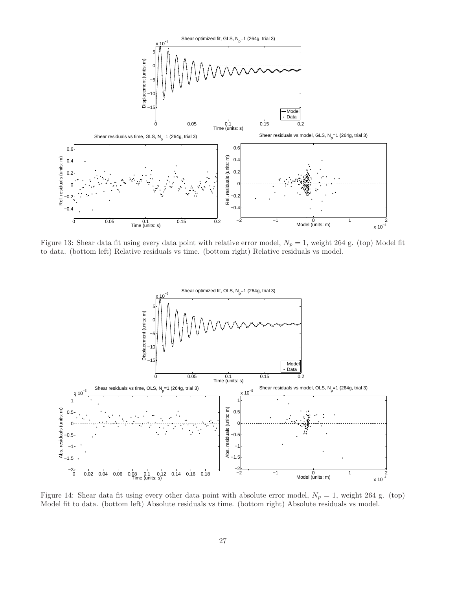

Figure 13: Shear data fit using every data point with relative error model,  $N_p = 1$ , weight 264 g. (top) Model fit to data. (bottom left) Relative residuals vs time. (bottom right) Relative residuals vs model.



Figure 14: Shear data fit using every other data point with absolute error model,  $N_p = 1$ , weight 264 g. (top) Model fit to data. (bottom left) Absolute residuals vs time. (bottom right) Absolute residuals vs model.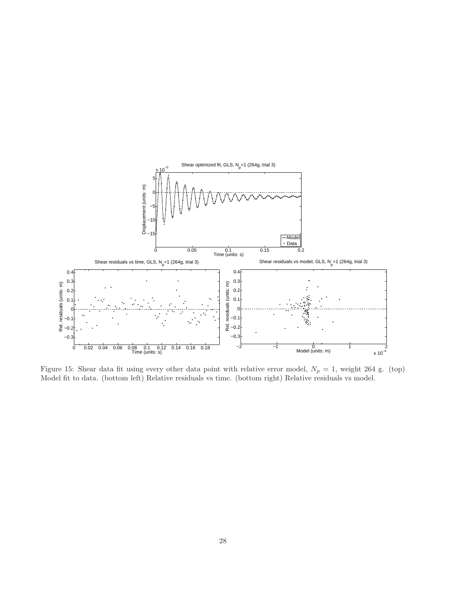

Figure 15: Shear data fit using every other data point with relative error model,  $N_p = 1$ , weight 264 g. (top) Model fit to data. (bottom left) Relative residuals vs time. (bottom right) Relative residuals vs model.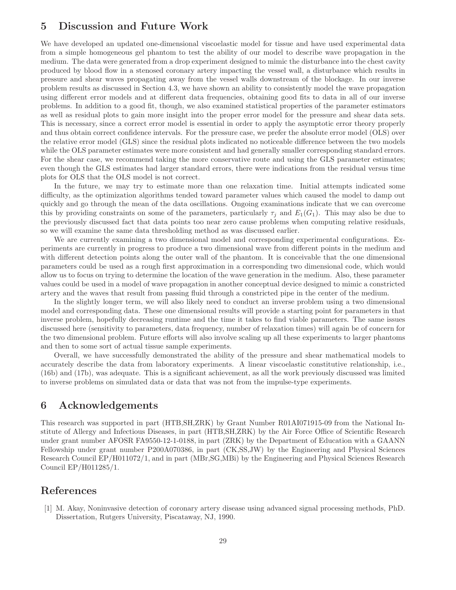## 5 Discussion and Future Work

We have developed an updated one-dimensional viscoelastic model for tissue and have used experimental data from a simple homogeneous gel phantom to test the ability of our model to describe wave propagation in the medium. The data were generated from a drop experiment designed to mimic the disturbance into the chest cavity produced by blood flow in a stenosed coronary artery impacting the vessel wall, a disturbance which results in pressure and shear waves propagating away from the vessel walls downstream of the blockage. In our inverse problem results as discussed in Section 4.3, we have shown an ability to consistently model the wave propagation using different error models and at different data frequencies, obtaining good fits to data in all of our inverse problems. In addition to a good fit, though, we also examined statistical properties of the parameter estimators as well as residual plots to gain more insight into the proper error model for the pressure and shear data sets. This is necessary, since a correct error model is essential in order to apply the asymptotic error theory properly and thus obtain correct confidence intervals. For the pressure case, we prefer the absolute error model (OLS) over the relative error model (GLS) since the residual plots indicated no noticeable difference between the two models while the OLS parameter estimates were more consistent and had generally smaller corresponding standard errors. For the shear case, we recommend taking the more conservative route and using the GLS parameter estimates; even though the GLS estimates had larger standard errors, there were indications from the residual versus time plots for OLS that the OLS model is not correct.

In the future, we may try to estimate more than one relaxation time. Initial attempts indicated some difficulty, as the optimization algorithms tended toward parameter values which caused the model to damp out quickly and go through the mean of the data oscillations. Ongoing examinations indicate that we can overcome this by providing constraints on some of the parameters, particularly  $\tau_i$  and  $E_1(G_1)$ . This may also be due to the previously discussed fact that data points too near zero cause problems when computing relative residuals, so we will examine the same data thresholding method as was discussed earlier.

We are currently examining a two dimensional model and corresponding experimental configurations. Experiments are currently in progress to produce a two dimensional wave from different points in the medium and with different detection points along the outer wall of the phantom. It is conceivable that the one dimensional parameters could be used as a rough first approximation in a corresponding two dimensional code, which would allow us to focus on trying to determine the location of the wave generation in the medium. Also, these parameter values could be used in a model of wave propagation in another conceptual device designed to mimic a constricted artery and the waves that result from passing fluid through a constricted pipe in the center of the medium.

In the slightly longer term, we will also likely need to conduct an inverse problem using a two dimensional model and corresponding data. These one dimensional results will provide a starting point for parameters in that inverse problem, hopefully decreasing runtime and the time it takes to find viable parameters. The same issues discussed here (sensitivity to parameters, data frequency, number of relaxation times) will again be of concern for the two dimensional problem. Future efforts will also involve scaling up all these experiments to larger phantoms and then to some sort of actual tissue sample experiments.

Overall, we have successfully demonstrated the ability of the pressure and shear mathematical models to accurately describe the data from laboratory experiments. A linear viscoelastic constitutive relationship, i.e., (16b) and (17b), was adequate. This is a significant achievement, as all the work previously discussed was limited to inverse problems on simulated data or data that was not from the impulse-type experiments.

### 6 Acknowledgements

This research was supported in part (HTB,SH,ZRK) by Grant Number R01AI071915-09 from the National Institute of Allergy and Infectious Diseases, in part (HTB,SH,ZRK) by the Air Force Office of Scientific Research under grant number AFOSR FA9550-12-1-0188, in part (ZRK) by the Department of Education with a GAANN Fellowship under grant number P200A070386, in part (CK,SS,JW) by the Engineering and Physical Sciences Research Council EP/H011072/1, and in part (MBr,SG,MBi) by the Engineering and Physical Sciences Research Council EP/H011285/1.

## References

[1] M. Akay, Noninvasive detection of coronary artery disease using advanced signal processing methods, PhD. Dissertation, Rutgers University, Piscataway, NJ, 1990.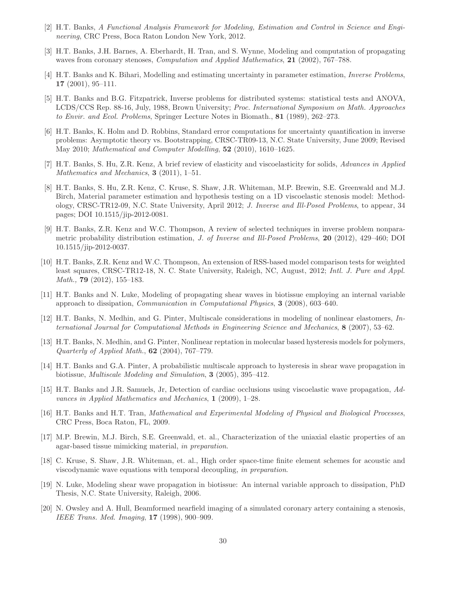- [2] H.T. Banks, A Functional Analysis Framework for Modeling, Estimation and Control in Science and Engineering, CRC Press, Boca Raton London New York, 2012.
- [3] H.T. Banks, J.H. Barnes, A. Eberhardt, H. Tran, and S. Wynne, Modeling and computation of propagating waves from coronary stenoses, *Computation and Applied Mathematics*, 21 (2002), 767–788.
- [4] H.T. Banks and K. Bihari, Modelling and estimating uncertainty in parameter estimation, Inverse Problems, 17 (2001), 95–111.
- [5] H.T. Banks and B.G. Fitzpatrick, Inverse problems for distributed systems: statistical tests and ANOVA, LCDS/CCS Rep. 88-16, July, 1988, Brown University; Proc. International Symposium on Math. Approaches to Envir. and Ecol. Problems, Springer Lecture Notes in Biomath., 81 (1989), 262–273.
- [6] H.T. Banks, K. Holm and D. Robbins, Standard error computations for uncertainty quantification in inverse problems: Asymptotic theory vs. Bootstrapping, CRSC-TR09-13, N.C. State University, June 2009; Revised May 2010; Mathematical and Computer Modelling, 52 (2010), 1610–1625.
- [7] H.T. Banks, S. Hu, Z.R. Kenz, A brief review of elasticity and viscoelasticity for solids, Advances in Applied Mathematics and Mechanics, **3** (2011), 1–51.
- [8] H.T. Banks, S. Hu, Z.R. Kenz, C. Kruse, S. Shaw, J.R. Whiteman, M.P. Brewin, S.E. Greenwald and M.J. Birch, Material parameter estimation and hypothesis testing on a 1D viscoelastic stenosis model: Methodology, CRSC-TR12-09, N.C. State University, April 2012; J. Inverse and Ill-Posed Problems, to appear, 34 pages; DOI 10.1515/jip-2012-0081.
- [9] H.T. Banks, Z.R. Kenz and W.C. Thompson, A review of selected techniques in inverse problem nonparametric probability distribution estimation, J. of Inverse and Ill-Posed Problems, 20 (2012), 429–460; DOI 10.1515/jip-2012-0037.
- [10] H.T. Banks, Z.R. Kenz and W.C. Thompson, An extension of RSS-based model comparison tests for weighted least squares, CRSC-TR12-18, N. C. State University, Raleigh, NC, August, 2012; Intl. J. Pure and Appl. Math., 79 (2012), 155–183.
- [11] H.T. Banks and N. Luke, Modeling of propagating shear waves in biotissue employing an internal variable approach to dissipation, Communication in Computational Physics, 3 (2008), 603–640.
- [12] H.T. Banks, N. Medhin, and G. Pinter, Multiscale considerations in modeling of nonlinear elastomers, International Journal for Computational Methods in Engineering Science and Mechanics, 8 (2007), 53–62.
- [13] H.T. Banks, N. Medhin, and G. Pinter, Nonlinear reptation in molecular based hysteresis models for polymers, Quarterly of Applied Math., 62 (2004), 767–779.
- [14] H.T. Banks and G.A. Pinter, A probabilistic multiscale approach to hysteresis in shear wave propagation in biotissue, Multiscale Modeling and Simulation, 3 (2005), 395–412.
- [15] H.T. Banks and J.R. Samuels, Jr, Detection of cardiac occlusions using viscoelastic wave propagation, Advances in Applied Mathematics and Mechanics, 1 (2009), 1–28.
- [16] H.T. Banks and H.T. Tran, Mathematical and Experimental Modeling of Physical and Biological Processes, CRC Press, Boca Raton, FL, 2009.
- [17] M.P. Brewin, M.J. Birch, S.E. Greenwald, et. al., Characterization of the uniaxial elastic properties of an agar-based tissue mimicking material, in preparation.
- [18] C. Kruse, S. Shaw, J.R. Whiteman, et. al., High order space-time finite element schemes for acoustic and viscodynamic wave equations with temporal decoupling, in preparation.
- [19] N. Luke, Modeling shear wave propagation in biotissue: An internal variable approach to dissipation, PhD Thesis, N.C. State University, Raleigh, 2006.
- [20] N. Owsley and A. Hull, Beamformed nearfield imaging of a simulated coronary artery containing a stenosis, IEEE Trans. Med. Imaging, 17 (1998), 900–909.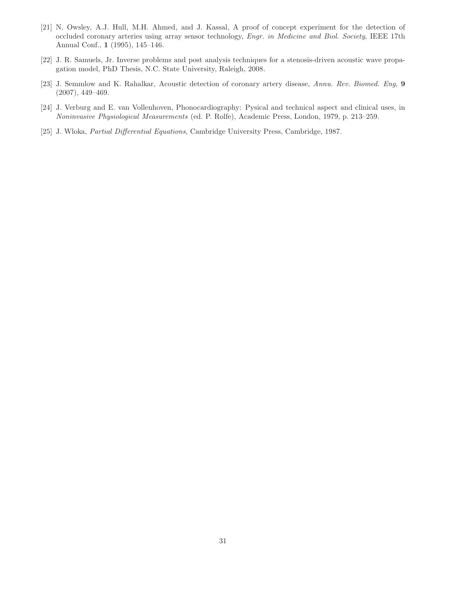- [21] N. Owsley, A.J. Hull, M.H. Ahmed, and J. Kassal, A proof of concept experiment for the detection of occluded coronary arteries using array sensor technology, Engr. in Medicine and Biol. Society, IEEE 17th Annual Conf., 1 (1995), 145–146.
- [22] J. R. Samuels, Jr. Inverse problems and post analysis techniques for a stenosis-driven acoustic wave propagation model, PhD Thesis, N.C. State University, Raleigh, 2008.
- [23] J. Semmlow and K. Rahalkar, Acoustic detection of coronary artery disease, Annu. Rev. Biomed. Eng, 9 (2007), 449–469.
- [24] J. Verburg and E. van Vollenhoven, Phonocardiography: Pysical and technical aspect and clinical uses, in Noninvasive Physiological Measurements (ed. P. Rolfe), Academic Press, London, 1979, p. 213–259.
- [25] J. Wloka, Partial Differential Equations, Cambridge University Press, Cambridge, 1987.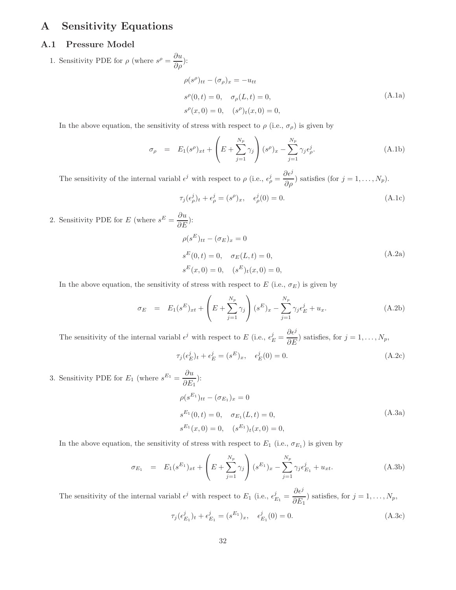## A Sensitivity Equations

### A.1 Pressure Model

1. Sensitivity PDE for  $\rho$  (where  $s^{\rho} = \frac{\partial u}{\partial \rho}$ ):

$$
\rho(s^{\rho})_{tt} - (\sigma_{\rho})_x = -u_{tt}
$$
  
\n
$$
s^{\rho}(0, t) = 0, \quad \sigma_{\rho}(L, t) = 0,
$$
  
\n
$$
s^{\rho}(x, 0) = 0, \quad (s^{\rho})_t(x, 0) = 0,
$$
\n(A.1a)

In the above equation, the sensitivity of stress with respect to  $\rho$  (i.e.,  $\sigma_{\rho}$ ) is given by

$$
\sigma_{\rho} = E_1(s^{\rho})_{xt} + \left(E + \sum_{j=1}^{N_p} \gamma_j\right) (s^{\rho})_x - \sum_{j=1}^{N_p} \gamma_j \epsilon_{\rho}^j.
$$
\n(A.1b)

The sensitivity of the internal variabl  $\epsilon^j$  with respect to  $\rho$  (i.e.,  $\epsilon^j_\rho =$  $\partial \epsilon^j$  $\frac{\partial c}{\partial \rho}$ ) satisfies (for  $j = 1, ..., N_p$ ).

$$
\tau_j(\epsilon_\rho^j)_t + \epsilon_\rho^j = (s^\rho)_x, \quad \epsilon_\rho^j(0) = 0.
$$
\n(A.1c)

2. Sensitivity PDE for E (where  $s^E = \frac{\partial u}{\partial E}$ ):

$$
\rho(s^{E})_{tt} - (\sigma_{E})_{x} = 0
$$
  
\n
$$
s^{E}(0, t) = 0, \quad \sigma_{E}(L, t) = 0,
$$
  
\n
$$
s^{E}(x, 0) = 0, \quad (s^{E})_{t}(x, 0) = 0,
$$
\n(A.2a)

In the above equation, the sensitivity of stress with respect to  $E$  (i.e.,  $\sigma_E$ ) is given by

$$
\sigma_E = E_1(s^E)_{xt} + \left(E + \sum_{j=1}^{N_p} \gamma_j\right) (s^E)_x - \sum_{j=1}^{N_p} \gamma_j \epsilon_E^j + u_x.
$$
 (A.2b)

The sensitivity of the internal variabl  $\epsilon^j$  with respect to E (i.e.,  $\epsilon_E^j$  =  $\partial \epsilon^j$  $\frac{\partial \mathcal{L}}{\partial E}$  ) satisfies, for  $j = 1, ..., N_p$ ,

$$
\tau_j(\epsilon_E^j)_t + \epsilon_E^j = (s^E)_x, \quad \epsilon_E^j(0) = 0.
$$
\n(A.2c)

3. Sensitivity PDE for  $E_1$  (where  $s^{E_1} = \frac{\partial u}{\partial E}$  $\frac{\partial \alpha}{\partial E_1}$ ):  $\rho(s^{E_1})_{tt} - (\sigma_{E_1})_x = 0$  $s^{E_1}(0,t) = 0, \quad \sigma_{E_1}(L,t) = 0,$  $s^{E_1}(x,0) = 0, \quad (s^{E_1})_t(x,0) = 0,$ (A.3a)

In the above equation, the sensitivity of stress with respect to  $E_1$  (i.e.,  $\sigma_{E_1}$ ) is given by

$$
\sigma_{E_1} = E_1(s^{E_1})_{xt} + \left(E + \sum_{j=1}^{N_p} \gamma_j\right)(s^{E_1})_x - \sum_{j=1}^{N_p} \gamma_j \epsilon_{E_1}^j + u_{xt}.
$$
\n(A.3b)

The sensitivity of the internal variabl  $\epsilon^j$  with respect to  $E_1$  (i.e.,  $\epsilon_{E_1}^j =$  $\partial\epsilon^j$  $\frac{\partial c}{\partial E_1}$ ) satisfies, for  $j = 1, ..., N_p$ ,

$$
\tau_j(\epsilon_{E_1}^j)_t + \epsilon_{E_1}^j = (s^{E_1})_x, \quad \epsilon_{E_1}^j(0) = 0.
$$
\n(A.3c)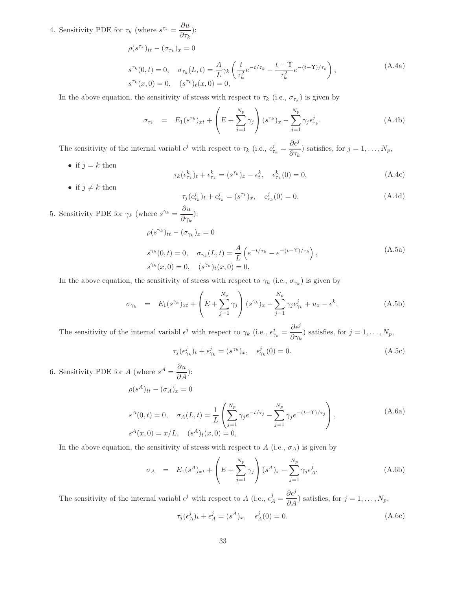4. Sensitivity PDE for  $\tau_k$  (where  $s^{\tau_k} = \frac{\partial u}{\partial \tau_k}$  $\frac{\partial \alpha}{\partial \tau_k}$ ):

$$
\rho(s^{\tau_k})_{tt} - (\sigma_{\tau_k})_x = 0
$$
\n
$$
s^{\tau_k}(0, t) = 0, \quad \sigma_{\tau_k}(L, t) = \frac{A}{L} \gamma_k \left( \frac{t}{\tau_k^2} e^{-t/\tau_k} - \frac{t - \Upsilon}{\tau_k^2} e^{-(t - \Upsilon)/\tau_k} \right),
$$
\n(A.4a)\n
$$
s^{\tau_k}(x, 0) = 0, \quad (s^{\tau_k})_t(x, 0) = 0,
$$

In the above equation, the sensitivity of stress with respect to  $\tau_k$  (i.e.,  $\sigma_{\tau_k}$ ) is given by

$$
\sigma_{\tau_k} = E_1(s^{\tau_k})_{xt} + \left(E + \sum_{j=1}^{N_p} \gamma_j\right) (s^{\tau_k})_x - \sum_{j=1}^{N_p} \gamma_j \epsilon_{\tau_k}^j.
$$
\n(A.4b)

The sensitivity of the internal variabl  $\epsilon^j$  with respect to  $\tau_k$  (i.e.,  $\epsilon^j_{\tau_k} =$  $\partial\epsilon^j$  $\frac{\partial \mathcal{L}}{\partial \tau_k}$ ) satisfies, for  $j = 1, ..., N_p$ ,

• if  $j = k$  then

$$
\tau_k(\epsilon_{\tau_k}^k)_t + \epsilon_{\tau_k}^k = (s^{\tau_k})_x - \epsilon_t^k, \quad \epsilon_{\tau_k}^k(0) = 0,
$$
\n(A.4c)

• if  $j \neq k$  then

$$
\tau_j(\epsilon_{\tau_k}^j)_t + \epsilon_{\tau_k}^j = (s^{\tau_k})_x, \quad \epsilon_{\tau_k}^j(0) = 0.
$$
\n(A.4d)

5. Sensitivity PDE for  $\gamma_k$  (where  $s^{\gamma_k} = \frac{\partial u}{\partial x_k}$  $\frac{\partial \alpha}{\partial \gamma_k}$ ):

$$
\rho(s^{\gamma_k})_{tt} - (\sigma_{\gamma_k})_x = 0
$$
  
\n
$$
s^{\gamma_k}(0, t) = 0, \quad \sigma_{\gamma_k}(L, t) = \frac{A}{L} \left( e^{-t/\tau_k} - e^{-(t-\Upsilon)/\tau_k} \right),
$$
  
\n
$$
s^{\gamma_k}(x, 0) = 0, \quad (s^{\gamma_k})_t(x, 0) = 0,
$$
\n(A.5a)

In the above equation, the sensitivity of stress with respect to  $\gamma_k$  (i.e.,  $\sigma_{\gamma_k}$ ) is given by

$$
\sigma_{\gamma_k} = E_1(s^{\gamma_k})_{xt} + \left( E + \sum_{j=1}^{N_p} \gamma_j \right) (s^{\gamma_k})_x - \sum_{j=1}^{N_p} \gamma_j \epsilon_{\gamma_k}^j + u_x - \epsilon^k.
$$
 (A.5b)

The sensitivity of the internal variabl  $\epsilon^j$  with respect to  $\gamma_k$  (i.e.,  $\epsilon^j_{\gamma_k} =$  $\partial\epsilon^j$  $\frac{\partial^2 \phi}{\partial \gamma_k}$ ) satisfies, for  $j = 1, ..., N_p$ ,

$$
\tau_j(\epsilon^j_{\gamma_k})_t + \epsilon^j_{\gamma_k} = (s^{\gamma_k})_x, \quad \epsilon^j_{\gamma_k}(0) = 0.
$$
\n(A.5c)

6. Sensitivity PDE for A (where  $s^A = \frac{\partial u}{\partial A}$ ):  $\rho(s^A)_{tt} - (\sigma_A)_x = 0$ 

$$
s^{A}(0,t) = 0, \quad \sigma_{A}(L,t) = \frac{1}{L} \left( \sum_{j=1}^{N_{p}} \gamma_{j} e^{-t/\tau_{j}} - \sum_{j=1}^{N_{p}} \gamma_{j} e^{-(t-\Upsilon)/\tau_{j}} \right),
$$
\n(A.6a)\n
$$
s^{A}(x,0) = x/L, \quad (s^{A})_{t}(x,0) = 0,
$$

In the above equation, the sensitivity of stress with respect to  $A$  (i.e.,  $\sigma_A$ ) is given by

$$
\sigma_A = E_1(s^A)_{xt} + \left(E + \sum_{j=1}^{N_p} \gamma_j\right) (s^A)_x - \sum_{j=1}^{N_p} \gamma_j \epsilon_A^j.
$$
 (A.6b)

The sensitivity of the internal variabl  $\epsilon^j$  with respect to A (i.e.,  $\epsilon^j_A$  =  $\partial \epsilon^j$  $\frac{\partial c}{\partial A}$  satisfies, for  $j = 1, ..., N_p$ ,

$$
\tau_j(\epsilon_A^j)_t + \epsilon_A^j = (s^A)_x, \quad \epsilon_A^j(0) = 0.
$$
\n(A.6c)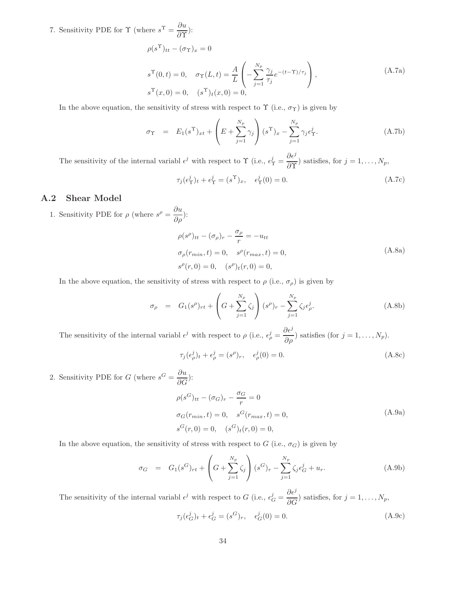7. Sensitivity PDE for  $\Upsilon$  (where  $s^{\Upsilon} = \frac{\partial u}{\partial \Upsilon}$  $\frac{\partial \alpha}{\partial \mathbf{\Upsilon}})$ :

$$
\rho(s^{\Upsilon})_{tt} - (\sigma_{\Upsilon})_x = 0
$$
  
\n
$$
s^{\Upsilon}(0, t) = 0, \quad \sigma_{\Upsilon}(L, t) = \frac{A}{L} \left( -\sum_{j=1}^{N_p} \frac{\gamma_j}{\tau_j} e^{-(t-\Upsilon)/\tau_j} \right),
$$
  
\n
$$
s^{\Upsilon}(x, 0) = 0, \quad (s^{\Upsilon})_t(x, 0) = 0,
$$
\n(A.7a)

In the above equation, the sensitivity of stress with respect to  $\Upsilon$  (i.e.,  $\sigma_{\Upsilon}$ ) is given by

$$
\sigma_{\Upsilon} = E_1(s^{\Upsilon})_{xt} + \left(E + \sum_{j=1}^{N_p} \gamma_j\right) (s^{\Upsilon})_x - \sum_{j=1}^{N_p} \gamma_j \epsilon_{\Upsilon}^j.
$$
 (A.7b)

The sensitivity of the internal variabl  $\epsilon^j$  with respect to  $\Upsilon$  (i.e.,  $\epsilon^j_{\Upsilon}$  =  $\partial \epsilon^j$  $\frac{\partial c}{\partial \Upsilon}$ ) satisfies, for  $j = 1, ..., N_p$ ,

$$
\tau_j(\epsilon_\Upsilon^j)_t + \epsilon_\Upsilon^j = (s^\Upsilon)_x, \quad \epsilon_\Upsilon^j(0) = 0.
$$
\n(A.7c)

### A.2 Shear Model

1. Sensitivity PDE for  $\rho$  (where  $s^{\rho} = \frac{\partial u}{\partial \rho}$ ):

$$
\rho(s^{\rho})_{tt} - (\sigma_{\rho})_r - \frac{\sigma_{\rho}}{r} = -u_{tt}
$$
  
\n
$$
\sigma_{\rho}(r_{min}, t) = 0, \quad s^{\rho}(r_{max}, t) = 0,
$$
  
\n
$$
s^{\rho}(r, 0) = 0, \quad (s^{\rho})_t(r, 0) = 0,
$$
\n(A.8a)

In the above equation, the sensitivity of stress with respect to  $\rho$  (i.e.,  $\sigma_{\rho}$ ) is given by

$$
\sigma_{\rho} = G_1(s^{\rho})_{rt} + \left(G + \sum_{j=1}^{N_p} \zeta_j\right)(s^{\rho})_r - \sum_{j=1}^{N_p} \zeta_j \epsilon_{\rho}^j.
$$
\n(A.8b)

The sensitivity of the internal variabl  $\epsilon^j$  with respect to  $\rho$  (i.e.,  $\epsilon^j_\rho =$  $\partial \epsilon^j$  $\frac{\partial^2 c}{\partial \rho}$ ) satisfies (for  $j = 1, ..., N_p$ ).

$$
\tau_j(\epsilon_\rho^j)_t + \epsilon_\rho^j = (s^\rho)_r, \quad \epsilon_\rho^j(0) = 0.
$$
\n(A.8c)

2. Sensitivity PDE for G (where  $s^G = \frac{\partial u}{\partial G}$ ):

$$
\rho(s^G)_{tt} - (\sigma_G)_r - \frac{\sigma_G}{r} = 0
$$
  
\n
$$
\sigma_G(r_{min}, t) = 0, \quad s^G(r_{max}, t) = 0,
$$
  
\n
$$
s^G(r, 0) = 0, \quad (s^G)_t(r, 0) = 0,
$$
\n(A.9a)

In the above equation, the sensitivity of stress with respect to G (i.e.,  $\sigma_G$ ) is given by

$$
\sigma_G = G_1(s^G)_{rt} + \left(G + \sum_{j=1}^{N_p} \zeta_j\right)(s^G)_r - \sum_{j=1}^{N_p} \zeta_j \epsilon_G^j + u_r.
$$
\n(A.9b)

The sensitivity of the internal variabl  $\epsilon^j$  with respect to G (i.e.,  $\epsilon_G^j$  =  $\partial\epsilon^j$  $\frac{\partial C}{\partial G}$ ) satisfies, for  $j = 1, ..., N_p$ ,

$$
\tau_j(\epsilon_G^j)_t + \epsilon_G^j = (s^G)_r, \quad \epsilon_G^j(0) = 0.
$$
\n(A.9c)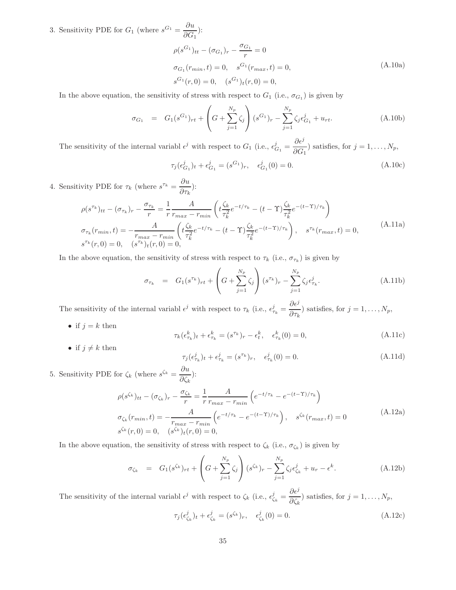3. Sensitivity PDE for  $G_1$  (where  $s^{G_1} = \frac{\partial u}{\partial G}$  $\frac{\partial \alpha}{\partial G_1}$ :

$$
\rho(s^{G_1})_{tt} - (\sigma_{G_1})_r - \frac{\sigma_{G_1}}{r} = 0
$$
  
\n
$$
\sigma_{G_1}(r_{min}, t) = 0, \quad s^{G_1}(r_{max}, t) = 0,
$$
  
\n
$$
s^{G_1}(r, 0) = 0, \quad (s^{G_1})_t(r, 0) = 0,
$$
\n(A.10a)

In the above equation, the sensitivity of stress with respect to  $G_1$  (i.e.,  $\sigma_{G_1}$ ) is given by

$$
\sigma_{G_1} = G_1(s^{G_1})_{rt} + \left(G + \sum_{j=1}^{N_p} \zeta_j\right)(s^{G_1})_r - \sum_{j=1}^{N_p} \zeta_j \epsilon_{G_1}^j + u_{rt}.
$$
\n(A.10b)

The sensitivity of the internal variabl  $\epsilon^j$  with respect to  $G_1$  (i.e.,  $\epsilon^j_{G_1} = \frac{\partial \epsilon^j}{\partial G_1}$  $\frac{\partial C}{\partial G_1}$ ) satisfies, for  $j = 1, ..., N_p$ ,

$$
\tau_j(\epsilon_{G_1}^j)_t + \epsilon_{G_1}^j = (s^{G_1})_r, \quad \epsilon_{G_1}^j(0) = 0.
$$
\n(A.10c)

4. Sensitivity PDE for  $\tau_k$  (where  $s^{\tau_k} = \frac{\partial u}{\partial \tau_k}$  $\frac{\partial \alpha}{\partial \tau_k}$ ):

$$
\rho(s^{\tau_k})_{tt} - (\sigma_{\tau_k})_r - \frac{\sigma_{\tau_k}}{r} = \frac{1}{r} \frac{A}{r_{max} - r_{min}} \left( t \frac{\zeta_k}{\tau_k^2} e^{-t/\tau_k} - (t - \Upsilon) \frac{\zeta_k}{\tau_k^2} e^{-(t - \Upsilon)/\tau_k} \right)
$$
\n
$$
\sigma_{\tau_k}(r_{min}, t) = -\frac{A}{r_{max} - r_{min}} \left( t \frac{\zeta_k}{\tau_k^2} e^{-t/\tau_k} - (t - \Upsilon) \frac{\zeta_k}{\tau_k^2} e^{-(t - \Upsilon)/\tau_k} \right), \quad s^{\tau_k}(r_{max}, t) = 0,
$$
\n(A.11a)\n
$$
s^{\tau_k}(r, 0) = 0, \quad (s^{\tau_k})_t(r, 0) = 0,
$$

In the above equation, the sensitivity of stress with respect to  $\tau_k$  (i.e.,  $\sigma_{\tau_k}$ ) is given by

$$
\sigma_{\tau_k} = G_1(s^{\tau_k})_{rt} + \left(G + \sum_{j=1}^{N_p} \zeta_j\right)(s^{\tau_k})_r - \sum_{j=1}^{N_p} \zeta_j \epsilon_{\tau_k}^j.
$$
\n(A.11b)

The sensitivity of the internal variable  $\epsilon^j$  with respect to  $\tau_k$  (i.e.,  $\epsilon^j_{\tau_k}$  =  $\partial\epsilon^j$  $\frac{\partial c}{\partial \tau_k}$ ) satisfies, for  $j = 1, ..., N_p$ ,

• if  $j = k$  then

$$
\tau_k(\epsilon_{\tau_k}^k)_t + \epsilon_{\tau_k}^k = (s^{\tau_k})_r - \epsilon_t^k, \quad \epsilon_{\tau_k}^k(0) = 0,
$$
\n(A.11c)

• if  $j \neq k$  then

$$
\tau_j(\epsilon_{\tau_k}^j)_t + \epsilon_{\tau_k}^j = (s^{\tau_k})_r, \quad \epsilon_{\tau_k}^j(0) = 0.
$$
 (A.11d)

5. Sensitivity PDE for  $\zeta_k$  (where  $s^{\zeta_k} = \frac{\partial u}{\partial \zeta_k}$  $\frac{\partial}{\partial \zeta_k}$ ):

$$
\rho(s^{\zeta_k})_{tt} - (\sigma_{\zeta_k})_r - \frac{\sigma_{\zeta_k}}{r} = \frac{1}{r} \frac{A}{r_{max} - r_{min}} \left( e^{-t/\tau_k} - e^{-(t-\Upsilon)/\tau_k} \right)
$$
\n
$$
\sigma_{\zeta_k}(r_{min}, t) = -\frac{A}{r_{max} - r_{min}} \left( e^{-t/\tau_k} - e^{-(t-\Upsilon)/\tau_k} \right), \quad s^{\zeta_k}(r_{max}, t) = 0
$$
\n(A.12a)\n
$$
s^{\zeta_k}(r, 0) = 0, \quad (s^{\zeta_k})_t(r, 0) = 0,
$$

In the above equation, the sensitivity of stress with respect to  $\zeta_k$  (i.e.,  $\sigma_{\zeta_k}$ ) is given by

$$
\sigma_{\zeta_k} = G_1(s^{\zeta_k})_{rt} + \left(G + \sum_{j=1}^{N_p} \zeta_j\right) (s^{\zeta_k})_r - \sum_{j=1}^{N_p} \zeta_j \epsilon_{\zeta_k}^j + u_r - \epsilon^k.
$$
 (A.12b)

The sensitivity of the internal variabl  $\epsilon^j$  with respect to  $\zeta_k$  (i.e.,  $\epsilon^j_{\zeta_k} = \frac{\partial \epsilon^j}{\partial \zeta_k}$  $\frac{\partial^2 \mathcal{C}}{\partial \zeta_k}$ ) satisfies, for  $j = 1, \ldots, N_p$ ,

$$
\tau_j(\epsilon_{\zeta_k}^j)_t + \epsilon_{\zeta_k}^j = (s^{\zeta_k})_r, \quad \epsilon_{\zeta_k}^j(0) = 0.
$$
\n(A.12c)